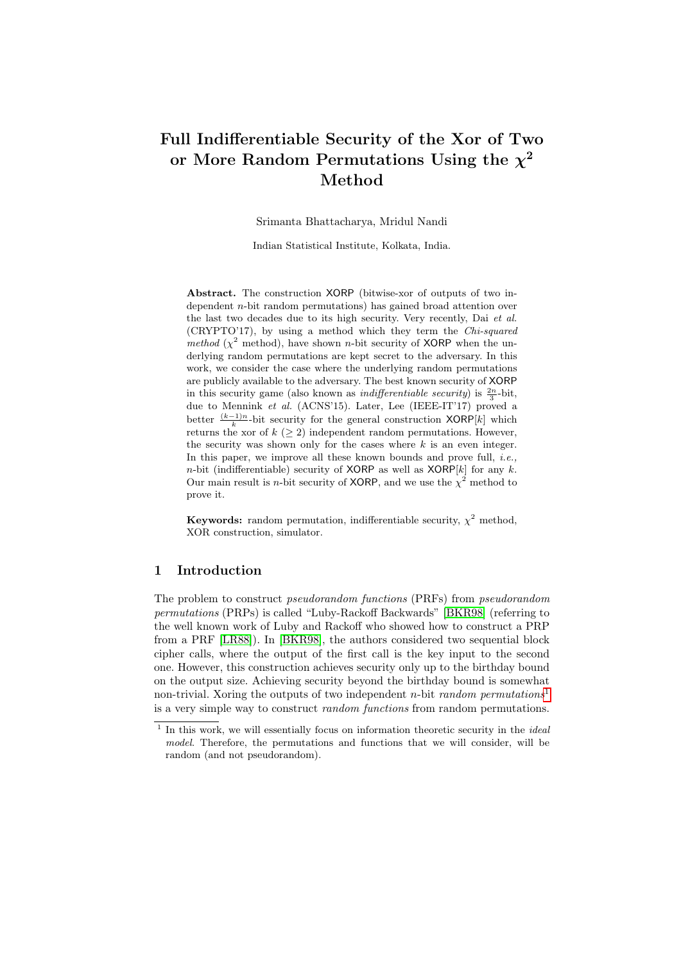# Full Indifferentiable Security of the Xor of Two or More Random Permutations Using the  $\chi^2$ Method

Srimanta Bhattacharya, Mridul Nandi

Indian Statistical Institute, Kolkata, India.

Abstract. The construction XORP (bitwise-xor of outputs of two independent n-bit random permutations) has gained broad attention over the last two decades due to its high security. Very recently, Dai et al. (CRYPTO'17), by using a method which they term the Chi-squared method ( $\chi^2$  method), have shown n-bit security of XORP when the underlying random permutations are kept secret to the adversary. In this work, we consider the case where the underlying random permutations are publicly available to the adversary. The best known security of XORP in this security game (also known as *indifferentiable security*) is  $\frac{2n}{3}$ -bit, due to Mennink et al. (ACNS'15). Later, Lee (IEEE-IT'17) proved a better  $\frac{(k-1)n}{k}$ -bit security for the general construction XORP[k] which returns the xor of  $k$  ( $> 2$ ) independent random permutations. However, the security was shown only for the cases where  $k$  is an even integer. In this paper, we improve all these known bounds and prove full, *i.e.*, *n*-bit (indifferentiable) security of XORP as well as  $XORP[k]$  for any k. Our main result is *n*-bit security of XORP, and we use the  $\chi^2$  method to prove it.

**Keywords:** random permutation, indifferentiable security,  $\chi^2$  method, XOR construction, simulator.

# 1 Introduction

The problem to construct pseudorandom functions (PRFs) from pseudorandom permutations (PRPs) is called "Luby-Rackoff Backwards" [\[BKR98\]](#page-23-0) (referring to the well known work of Luby and Rackoff who showed how to construct a PRP from a PRF [\[LR88\]](#page-24-0)). In [\[BKR98\]](#page-23-0), the authors considered two sequential block cipher calls, where the output of the first call is the key input to the second one. However, this construction achieves security only up to the birthday bound on the output size. Achieving security beyond the birthday bound is somewhat non-trivial. Xoring the outputs of two independent n-bit random permutations<sup>[1](#page-0-0)</sup> is a very simple way to construct random functions from random permutations.

<span id="page-0-0"></span> $<sup>1</sup>$  In this work, we will essentially focus on information theoretic security in the *idea*</sup> model. Therefore, the permutations and functions that we will consider, will be random (and not pseudorandom).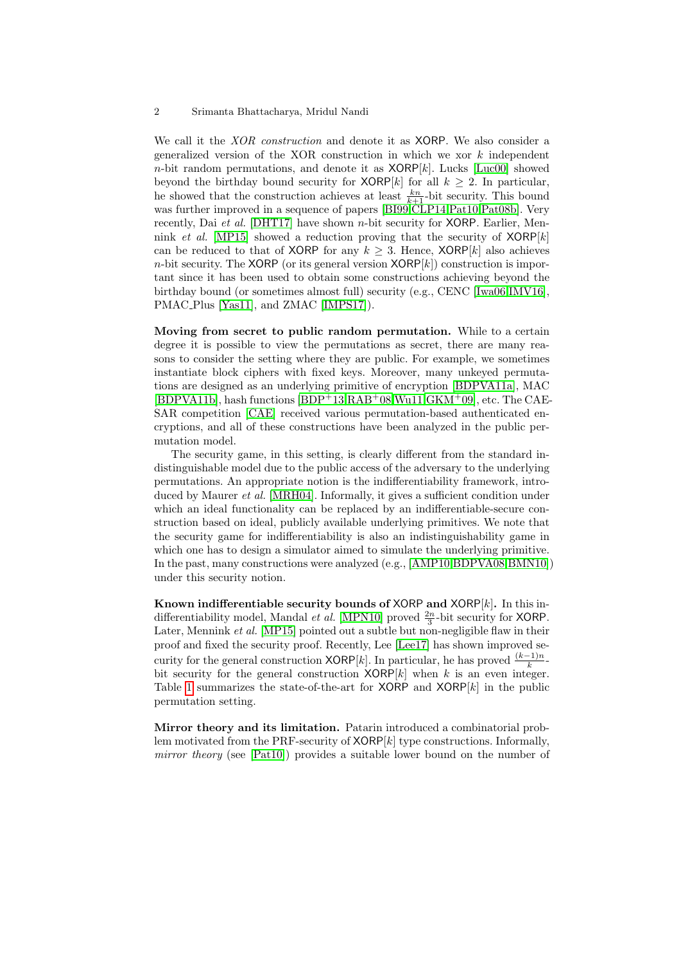We call it the *XOR construction* and denote it as **XORP**. We also consider a generalized version of the XOR construction in which we xor  $k$  independent  $n$ -bit random permutations, and denote it as  $XORP[k]$ . Lucks [\[Luc00\]](#page-24-1) showed beyond the birthday bound security for  $XORP[k]$  for all  $k > 2$ . In particular, he showed that the construction achieves at least  $\frac{kn}{k+1}$ -bit security. This bound was further improved in a sequence of papers [\[BI99,](#page-23-1)[CLP14,](#page-23-2)[Pat10,](#page-24-2)[Pat08b\]](#page-24-3). Very recently, Dai et al. [\[DHT17\]](#page-23-3) have shown n-bit security for XORP. Earlier, Men-nink et al. [\[MP15\]](#page-24-4) showed a reduction proving that the security of  $XORP[k]$ can be reduced to that of XORP for any  $k \geq 3$ . Hence, XORP[k] also achieves n-bit security. The XORP (or its general version  $XORP[k]$ ) construction is important since it has been used to obtain some constructions achieving beyond the birthday bound (or sometimes almost full) security (e.g., CENC [\[Iwa06,](#page-24-5)[IMV16\]](#page-24-6), PMAC Plus [\[Yas11\]](#page-25-0), and ZMAC [\[IMPS17\]](#page-24-7)).

Moving from secret to public random permutation. While to a certain degree it is possible to view the permutations as secret, there are many reasons to consider the setting where they are public. For example, we sometimes instantiate block ciphers with fixed keys. Moreover, many unkeyed permutations are designed as an underlying primitive of encryption [\[BDPVA11a\]](#page-23-4), MAC  $[BDPVAL11b]$  $[BDPVAL11b]$ , hash functions  $[BDP+13, RAB+08, Wu11, GKM+09]$  $[BDP+13, RAB+08, Wu11, GKM+09]$  $[BDP+13, RAB+08, Wu11, GKM+09]$ , etc. The CAE-SAR competition [\[CAE\]](#page-23-7) received various permutation-based authenticated encryptions, and all of these constructions have been analyzed in the public permutation model.

The security game, in this setting, is clearly different from the standard indistinguishable model due to the public access of the adversary to the underlying permutations. An appropriate notion is the indifferentiability framework, introduced by Maurer et al. [\[MRH04\]](#page-24-8). Informally, it gives a sufficient condition under which an ideal functionality can be replaced by an indifferentiable-secure construction based on ideal, publicly available underlying primitives. We note that the security game for indifferentiability is also an indistinguishability game in which one has to design a simulator aimed to simulate the underlying primitive. In the past, many constructions were analyzed (e.g., [\[AMP10,](#page-22-1)[BDPVA08,](#page-23-8)[BMN10\]](#page-23-9)) under this security notion.

Known indifferentiable security bounds of XORP and  $XORP[k]$ . In this indifferentiability model, Mandal *et al.* [\[MPN10\]](#page-24-9) proved  $\frac{2n}{3}$ -bit security for **XORP**. Later, Mennink *et al.* [\[MP15\]](#page-24-4) pointed out a subtle but non-negligible flaw in their proof and fixed the security proof. Recently, Lee [\[Lee17\]](#page-24-10) has shown improved security for the general construction  $XORP[k]$ . In particular, he has proved  $\frac{(k-1)n}{k}$ bit security for the general construction  $XORP[k]$  when k is an even integer. Table [1](#page-2-0) summarizes the state-of-the-art for XORP and  $XORP[k]$  in the public permutation setting.

Mirror theory and its limitation. Patarin introduced a combinatorial problem motivated from the PRF-security of  $XORP[k]$  type constructions. Informally, mirror theory (see [\[Pat10\]](#page-24-2)) provides a suitable lower bound on the number of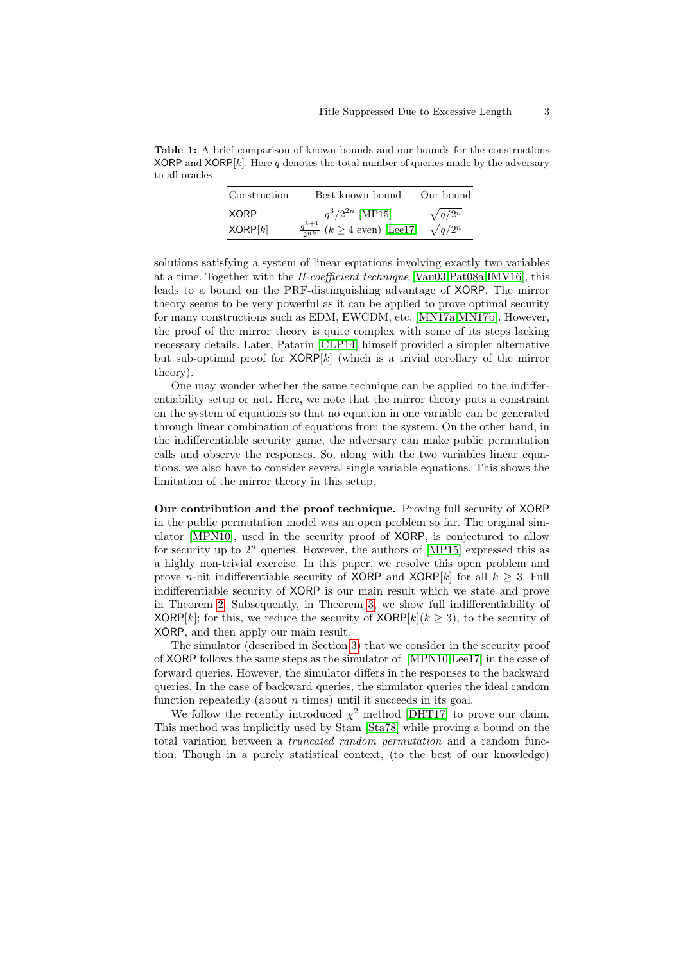<span id="page-2-0"></span>Table 1: A brief comparison of known bounds and our bounds for the constructions XORP and  $XORP[k]$ . Here q denotes the total number of queries made by the adversary to all oracles.

| Construction | Best known bound                                | Our bound      |
|--------------|-------------------------------------------------|----------------|
| <b>XORP</b>  | $q^3/2^{2n}$ [MP15]                             | $\sqrt{q/2^n}$ |
| XORP[k]      | $\frac{q^{k+1}}{2nk}$ $(k \geq 4$ even) [Lee17] | $\sqrt{q/2^n}$ |

solutions satisfying a system of linear equations involving exactly two variables at a time. Together with the H-coefficient technique [\[Vau03,](#page-25-3)[Pat08a,](#page-24-11)[IMV16\]](#page-24-6), this leads to a bound on the PRF-distinguishing advantage of XORP. The mirror theory seems to be very powerful as it can be applied to prove optimal security for many constructions such as EDM, EWCDM, etc. [\[MN17a,](#page-24-12)[MN17b\]](#page-24-13). However, the proof of the mirror theory is quite complex with some of its steps lacking necessary details. Later, Patarin [\[CLP14\]](#page-23-2) himself provided a simpler alternative but sub-optimal proof for  $XORP[k]$  (which is a trivial corollary of the mirror theory).

One may wonder whether the same technique can be applied to the indifferentiability setup or not. Here, we note that the mirror theory puts a constraint on the system of equations so that no equation in one variable can be generated through linear combination of equations from the system. On the other hand, in the indifferentiable security game, the adversary can make public permutation calls and observe the responses. So, along with the two variables linear equations, we also have to consider several single variable equations. This shows the limitation of the mirror theory in this setup.

Our contribution and the proof technique. Proving full security of XORP in the public permutation model was an open problem so far. The original simulator [\[MPN10\]](#page-24-9), used in the security proof of XORP, is conjectured to allow for security up to  $2^n$  queries. However, the authors of [\[MP15\]](#page-24-4) expressed this as a highly non-trivial exercise. In this paper, we resolve this open problem and prove *n*-bit indifferentiable security of XORP and XORP[k] for all  $k \geq 3$ . Full indifferentiable security of XORP is our main result which we state and prove in Theorem [2.](#page-13-0) Subsequently, in Theorem [3,](#page-21-0) we show full indifferentiability of XORP[k]; for this, we reduce the security of  $XORP[k](k \geq 3)$ , to the security of XORP, and then apply our main result.

The simulator (described in Section [3\)](#page-8-0) that we consider in the security proof of XORP follows the same steps as the simulator of [\[MPN10,](#page-24-9)[Lee17\]](#page-24-10) in the case of forward queries. However, the simulator differs in the responses to the backward queries. In the case of backward queries, the simulator queries the ideal random function repeatedly (about  $n$  times) until it succeeds in its goal.

We follow the recently introduced  $\chi^2$  method [\[DHT17\]](#page-23-3) to prove our claim. This method was implicitly used by Stam [\[Sta78\]](#page-25-4) while proving a bound on the total variation between a truncated random permutation and a random function. Though in a purely statistical context, (to the best of our knowledge)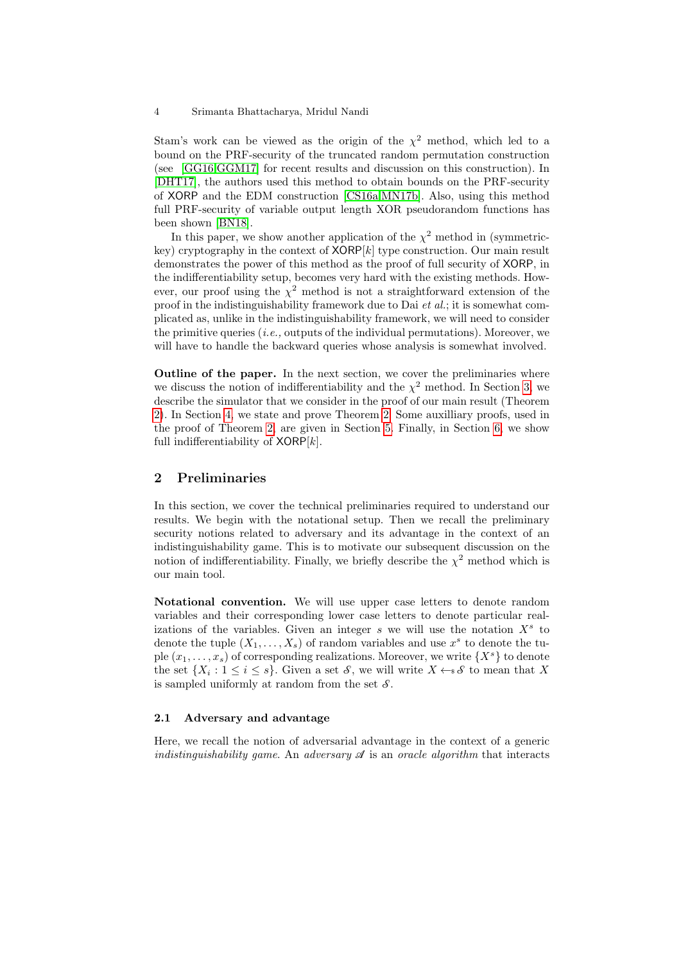Stam's work can be viewed as the origin of the  $\chi^2$  method, which led to a bound on the PRF-security of the truncated random permutation construction (see [\[GG16,](#page-23-10)[GGM17\]](#page-23-11) for recent results and discussion on this construction). In [\[DHT17\]](#page-23-3), the authors used this method to obtain bounds on the PRF-security of XORP and the EDM construction [\[CS16a,](#page-23-12)[MN17b\]](#page-24-13). Also, using this method full PRF-security of variable output length XOR pseudorandom functions has been shown [\[BN18\]](#page-23-13).

In this paper, we show another application of the  $\chi^2$  method in (symmetrickey) cryptography in the context of  $XORP[k]$  type construction. Our main result demonstrates the power of this method as the proof of full security of XORP, in the indifferentiability setup, becomes very hard with the existing methods. However, our proof using the  $\chi^2$  method is not a straightforward extension of the proof in the indistinguishability framework due to Dai et al.; it is somewhat complicated as, unlike in the indistinguishability framework, we will need to consider the primitive queries  $(i.e.,$  outputs of the individual permutations). Moreover, we will have to handle the backward queries whose analysis is somewhat involved.

Outline of the paper. In the next section, we cover the preliminaries where we discuss the notion of indifferentiability and the  $\chi^2$  method. In Section [3,](#page-8-0) we describe the simulator that we consider in the proof of our main result (Theorem [2\)](#page-13-0). In Section [4,](#page-13-1) we state and prove Theorem [2.](#page-13-0) Some auxilliary proofs, used in the proof of Theorem [2,](#page-13-0) are given in Section [5.](#page-19-0) Finally, in Section [6,](#page-21-1) we show full indifferentiability of  $XORP[k]$ .

# 2 Preliminaries

In this section, we cover the technical preliminaries required to understand our results. We begin with the notational setup. Then we recall the preliminary security notions related to adversary and its advantage in the context of an indistinguishability game. This is to motivate our subsequent discussion on the notion of indifferentiability. Finally, we briefly describe the  $\chi^2$  method which is our main tool.

Notational convention. We will use upper case letters to denote random variables and their corresponding lower case letters to denote particular realizations of the variables. Given an integer  $s$  we will use the notation  $X<sup>s</sup>$  to denote the tuple  $(X_1, \ldots, X_s)$  of random variables and use  $x^s$  to denote the tuple  $(x_1, \ldots, x_s)$  of corresponding realizations. Moreover, we write  $\{X^s\}$  to denote the set  $\{X_i: 1 \leq i \leq s\}$ . Given a set  $\mathcal{S}$ , we will write  $X \leftarrow s\mathcal{S}$  to mean that X is sampled uniformly at random from the set  $S$ .

#### 2.1 Adversary and advantage

Here, we recall the notion of adversarial advantage in the context of a generic indistinguishability game. An adversary  $\mathscr A$  is an oracle algorithm that interacts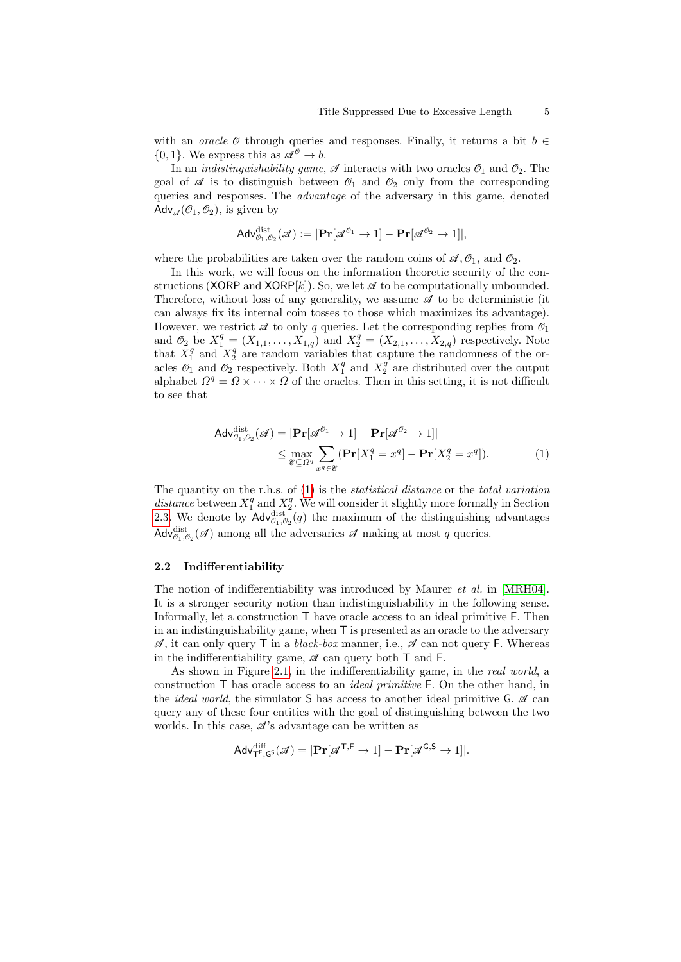with an *oracle*  $\emptyset$  through queries and responses. Finally, it returns a bit  $b \in$  $\{0,1\}$ . We express this as  $\mathscr{A}^{\mathscr{O}} \to b$ .

In an *indistinguishability game*,  $\mathscr A$  interacts with two oracles  $\mathscr O_1$  and  $\mathscr O_2$ . The goal of  $\mathscr A$  is to distinguish between  $\mathscr O_1$  and  $\mathscr O_2$  only from the corresponding queries and responses. The advantage of the adversary in this game, denoted Adv<sub> $\mathcal{A}(\mathcal{O}_1,\mathcal{O}_2)$ , is given by</sub>

$$
\mathsf{Adv}_{\mathscr{O}_1,\mathscr{O}_2}^\text{dist}(\mathscr{A}):= |\mathbf{Pr}[\mathscr{A}^{\mathscr{O}_1} \to 1] - \mathbf{Pr}[\mathscr{A}^{\mathscr{O}_2} \to 1]|,
$$

where the probabilities are taken over the random coins of  $\mathcal{A}, \mathcal{O}_1$ , and  $\mathcal{O}_2$ .

In this work, we will focus on the information theoretic security of the constructions (XORP and XORP[k]). So, we let  $\mathscr A$  to be computationally unbounded. Therefore, without loss of any generality, we assume  $\mathscr A$  to be deterministic (it can always fix its internal coin tosses to those which maximizes its advantage). However, we restrict  $\mathscr A$  to only q queries. Let the corresponding replies from  $\mathscr O_1$ and  $\mathcal{O}_2$  be  $X_1^q = (X_{1,1}, \ldots, X_{1,q})$  and  $X_2^q = (X_{2,1}, \ldots, X_{2,q})$  respectively. Note that  $X_1^q$  and  $X_2^q$  are random variables that capture the randomness of the oracles  $\mathcal{O}_1$  and  $\mathcal{O}_2$  respectively. Both  $X_1^q$  and  $X_2^q$  are distributed over the output alphabet  $\Omega^q = \Omega \times \cdots \times \Omega$  of the oracles. Then in this setting, it is not difficult to see that

<span id="page-4-0"></span>
$$
\mathsf{Adv}_{\mathcal{O}_1, \mathcal{O}_2}^{\text{dist}}(\mathscr{A}) = |\mathbf{Pr}[\mathscr{A}^{\mathcal{O}_1} \to 1] - \mathbf{Pr}[\mathscr{A}^{\mathcal{O}_2} \to 1]|
$$
  
\$\leq \max\_{\mathscr{C} \subseteq \Omega^q} \sum\_{x^q \in \mathscr{C}} (\mathbf{Pr}[X\_1^q = x^q] - \mathbf{Pr}[X\_2^q = x^q]).\$ (1)

The quantity on the r.h.s. of  $(1)$  is the *statistical distance* or the *total variation* distance between  $X_1^q$  and  $X_2^q$ . We will consider it slightly more formally in Section [2.3.](#page-6-0) We denote by  $\operatorname{Adv}_{\theta_1,\theta_2}^{\text{dist}}(q)$  the maximum of the distinguishing advantages  $\mathsf{Adv}_{\mathcal{O}_1, \mathcal{O}_2}^{\text{dist}}(\mathcal{A})$  among all the adversaries  $\mathcal A$  making at most  $q$  queries.

#### 2.2 Indifferentiability

The notion of indifferentiability was introduced by Maurer et al. in [\[MRH04\]](#page-24-8). It is a stronger security notion than indistinguishability in the following sense. Informally, let a construction  $\mathsf T$  have oracle access to an ideal primitive  $\mathsf F$ . Then in an indistinguishability game, when T is presented as an oracle to the adversary  $\mathcal{A}$ , it can only query T in a *black-box* manner, i.e.,  $\mathcal{A}$  can not query F. Whereas in the indifferentiability game,  $\mathscr A$  can query both  $\mathsf T$  and  $\mathsf F$ .

As shown in Figure [2.1,](#page-5-0) in the indifferentiability game, in the real world, a construction T has oracle access to an ideal primitive F. On the other hand, in the *ideal world*, the simulator S has access to another ideal primitive G.  $\mathcal{A}$  can query any of these four entities with the goal of distinguishing between the two worlds. In this case,  $\mathscr A$ 's advantage can be written as

$$
\mathsf{Adv}_{\mathsf{T}^{\mathsf{F}},\mathsf{G}^{\mathsf{S}}}^{\text{diff}}(\mathscr{A}) = |\mathbf{Pr}[\mathscr{A}^{\mathsf{T},\mathsf{F}} \to 1] - \mathbf{Pr}[\mathscr{A}^{\mathsf{G},\mathsf{S}} \to 1]|.
$$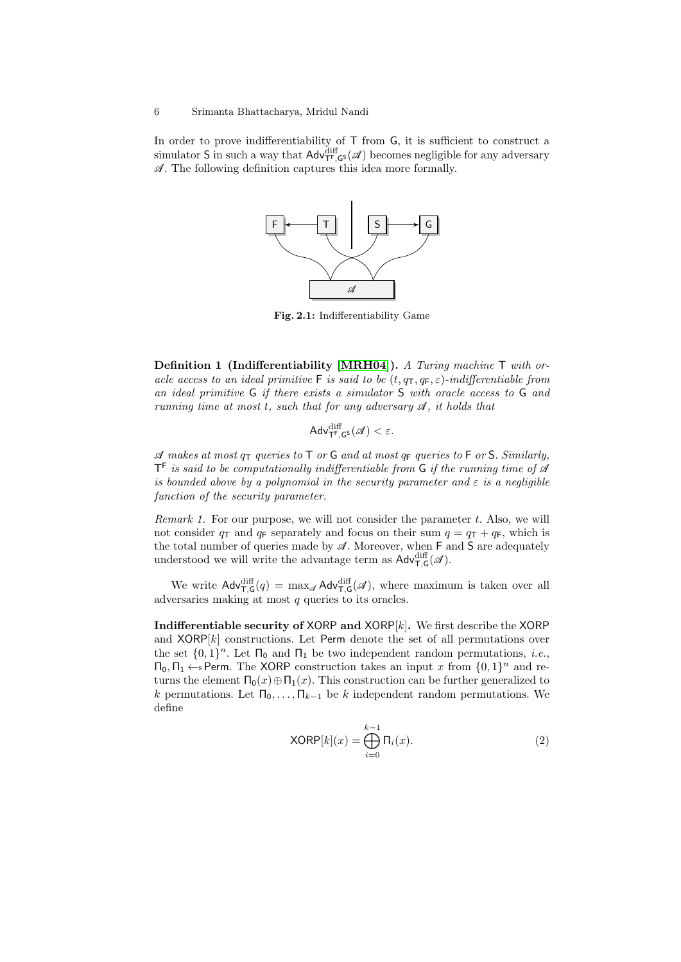<span id="page-5-0"></span>In order to prove indifferentiability of  $\mathsf T$  from  $\mathsf G$ , it is sufficient to construct a simulator S in such a way that  $\mathsf{Adv}_{\mathsf{TF},\mathsf{GS}}^{\text{diff}}(\mathscr{A})$  becomes negligible for any adversary  $\mathscr A$ . The following definition captures this idea more formally.



Fig. 2.1: Indifferentiability Game

Definition 1 (Indifferentiability [\[MRH04\]](#page-24-8)). A Turing machine T with oracle access to an ideal primitive F is said to be  $(t, q_T, q_F, \varepsilon)$ -indifferentiable from an ideal primitive G if there exists a simulator S with oracle access to G and running time at most t, such that for any adversary  $\mathscr A$ , it holds that

$$
\mathsf{Adv}_{\mathsf{T}^{\mathsf{F}},\mathsf{G}^{\mathsf{S}}}^{\mathrm{diff}}(\mathscr{A}) < \varepsilon.
$$

 $\mathscr A$  makes at most  $q_{\mathsf T}$  queries to  $\mathsf T$  or  $\mathsf G$  and at most  $q_{\mathsf F}$  queries to  $\mathsf F$  or  $\mathsf S$ . Similarly,  $\mathsf{T}^{\mathsf{F}}$  is said to be computationally indifferentiable from  $\mathsf{G}$  if the running time of  $\mathscr A$ is bounded above by a polynomial in the security parameter and  $\varepsilon$  is a negligible function of the security parameter.

*Remark 1.* For our purpose, we will not consider the parameter  $t$ . Also, we will not consider  $q_T$  and  $q_F$  separately and focus on their sum  $q = q_T + q_F$ , which is the total number of queries made by  $\mathscr A$ . Moreover, when  $F$  and  $S$  are adequately understood we will write the advantage term as  $\mathsf{Adv}_{\mathsf{T},\mathsf{G}}^{\text{diff}}(\mathscr{A})$ .

We write  $\mathsf{Adv}_{\mathsf{T},\mathsf{G}}^{\text{diff}}(q) = \max_{\mathscr{A}} \mathsf{Adv}_{\mathsf{T},\mathsf{G}}^{\text{diff}}(\mathscr{A}),$  where maximum is taken over all adversaries making at most  $q$  queries to its oracles.

Indifferentiable security of XORP and  $XORP[k]$ . We first describe the XORP and  $XORP[k]$  constructions. Let Perm denote the set of all permutations over the set  $\{0,1\}^n$ . Let  $\Pi_0$  and  $\Pi_1$  be two independent random permutations, *i.e.*,  $\Pi_0, \Pi_1 \leftarrow s$  Perm. The XORP construction takes an input x from  $\{0, 1\}^n$  and returns the element  $\Pi_0(x) \oplus \Pi_1(x)$ . This construction can be further generalized to k permutations. Let  $\Pi_0, \ldots, \Pi_{k-1}$  be k independent random permutations. We define

$$
XORP[k](x) = \bigoplus_{i=0}^{k-1} \Pi_i(x). \tag{2}
$$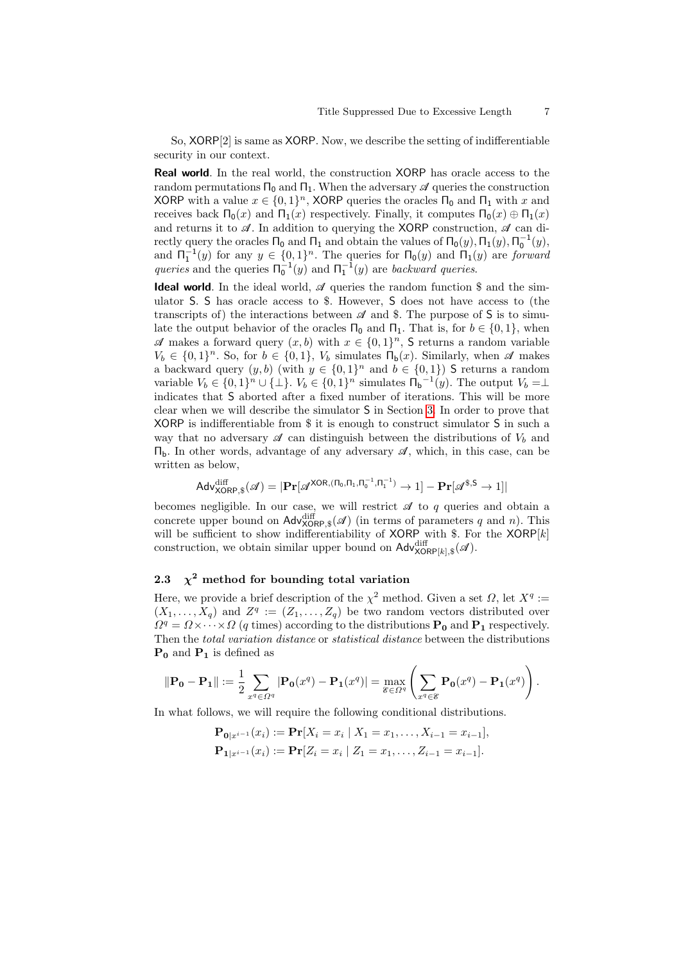So, XORP[2] is same as XORP. Now, we describe the setting of indifferentiable security in our context.

Real world. In the real world, the construction XORP has oracle access to the random permutations  $\Pi_0$  and  $\Pi_1$ . When the adversary  $\mathscr A$  queries the construction XORP with a value  $x \in \{0,1\}^n$ , XORP queries the oracles  $\Pi_0$  and  $\Pi_1$  with x and receives back  $\Pi_0(x)$  and  $\Pi_1(x)$  respectively. Finally, it computes  $\Pi_0(x) \oplus \Pi_1(x)$ and returns it to  $\mathscr A$ . In addition to querying the XORP construction,  $\mathscr A$  can directly query the oracles  $\Pi_0$  and  $\Pi_1$  and obtain the values of  $\Pi_0(y)$ ,  $\Pi_1(y)$ ,  $\Pi_0^{-1}(y)$ , and  $\Pi_1^{-1}(y)$  for any  $y \in \{0,1\}^n$ . The queries for  $\Pi_0(y)$  and  $\Pi_1(y)$  are forward queries and the queries  $\Pi_0^{-1}(y)$  and  $\Pi_1^{-1}(y)$  are backward queries.

**Ideal world**. In the ideal world,  $\mathscr A$  queries the random function  $\mathscr S$  and the simulator S. S has oracle access to \$. However, S does not have access to (the transcripts of) the interactions between  $\mathscr A$  and \$. The purpose of S is to simulate the output behavior of the oracles  $\Pi_0$  and  $\Pi_1$ . That is, for  $b \in \{0,1\}$ , when  $\mathscr A$  makes a forward query  $(x, b)$  with  $x \in \{0, 1\}^n$ , S returns a random variable  $V_b \in \{0,1\}^n$ . So, for  $b \in \{0,1\}$ ,  $V_b$  simulates  $\Pi_b(x)$ . Similarly, when  $\mathscr A$  makes a backward query  $(y, b)$  (with  $y \in \{0, 1\}^n$  and  $b \in \{0, 1\}$ ) S returns a random variable  $V_b \in \{0,1\}^n \cup \{\perp\}$ .  $V_b \in \{0,1\}^n$  simulates  $\overline{\Pi}_b^{-1}(y)$ . The output  $V_b = \perp$ indicates that S aborted after a fixed number of iterations. This will be more clear when we will describe the simulator S in Section [3.](#page-8-0) In order to prove that XORP is indifferentiable from \$ it is enough to construct simulator S in such a way that no adversary  $\mathscr A$  can distinguish between the distributions of  $V_b$  and  $\Pi_b$ . In other words, advantage of any adversary  $\mathcal{A}$ , which, in this case, can be written as below,

$$
\mathsf{Adv}^{\text{diff}}_{\text{XORP},\$}(\mathscr{A}) = |\mathbf{Pr}[\mathscr{A}^{\text{XOR},(\Pi_0,\Pi_1,\Pi_0^{-1},\Pi_1^{-1})} \to 1] - \mathbf{Pr}[\mathscr{A}^{\$,\mathsf{S}} \to 1]|
$$

becomes negligible. In our case, we will restrict  $\mathscr A$  to  $q$  queries and obtain a concrete upper bound on  $\mathsf{Adv}_{\mathsf{XORP},\$}^{\text{diff}}(\mathscr{A})$  (in terms of parameters q and n). This will be sufficient to show indifferentiability of XORP with  $\$ . For the XORP[k] construction, we obtain similar upper bound on  $\mathsf{Adv}_{\mathsf{XORP}[k],\$}^{\text{diff}}(\mathscr{A})$ .

# <span id="page-6-0"></span>2.3  $\chi^2$  method for bounding total variation

Here, we provide a brief description of the  $\chi^2$  method. Given a set  $\Omega$ , let  $X^q :=$  $(X_1, \ldots, X_q)$  and  $Z^q := (Z_1, \ldots, Z_q)$  be two random vectors distributed over  $\Omega^q = \Omega \times \cdots \times \Omega$  (q times) according to the distributions  $P_0$  and  $P_1$  respectively. Then the total variation distance or statistical distance between the distributions  $P_0$  and  $P_1$  is defined as

$$
\|\mathbf{P_0} - \mathbf{P_1}\| := \frac{1}{2} \sum_{x^q \in \Omega^q} |\mathbf{P_0}(x^q) - \mathbf{P_1}(x^q)| = \max_{\mathscr{E} \in \Omega^q} \left( \sum_{x^q \in \mathscr{E}} \mathbf{P_0}(x^q) - \mathbf{P_1}(x^q) \right).
$$

In what follows, we will require the following conditional distributions.

 $\mathbf{P}_{\mathbf{0}|x^{i-1}}(x_i) := \mathbf{Pr}[X_i = x_i | X_1 = x_1, \dots, X_{i-1} = x_{i-1}],$  $\mathbf{P}_{\mathbf{1}|x^{i-1}}(x_i) := \mathbf{Pr}[Z_i = x_i | Z_1 = x_1, \ldots, Z_{i-1} = x_{i-1}].$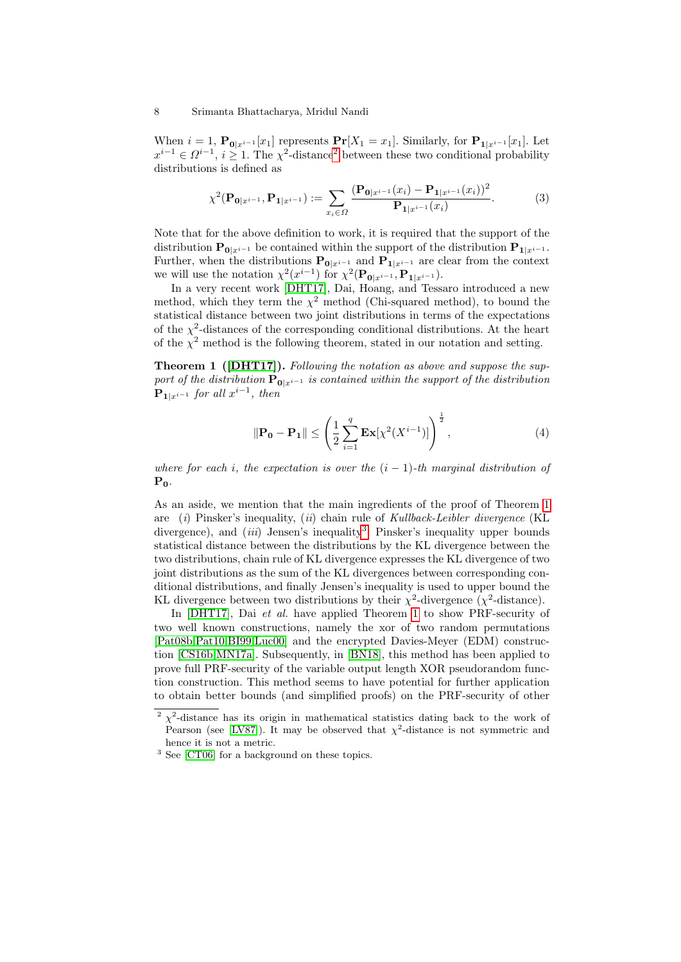When  $i = 1$ ,  $\mathbf{P}_{\mathbf{0}|x^{i-1}}[x_1]$  represents  $\mathbf{Pr}[X_1 = x_1]$ . Similarly, for  $\mathbf{P}_{\mathbf{1}|x^{i-1}}[x_1]$ . Let  $x^{i-1}$  ∈  $\Omega^{i-1}$ ,  $i \geq 1$ . The  $\chi^2$  $\chi^2$ -distance<sup>2</sup> between these two conditional probability distributions is defined as

$$
\chi^{2}(\mathbf{P}_{\mathbf{0}|x^{i-1}}, \mathbf{P}_{\mathbf{1}|x^{i-1}}) := \sum_{x_i \in \Omega} \frac{(\mathbf{P}_{\mathbf{0}|x^{i-1}}(x_i) - \mathbf{P}_{\mathbf{1}|x^{i-1}}(x_i))^2}{\mathbf{P}_{\mathbf{1}|x^{i-1}}(x_i)}.
$$
(3)

Note that for the above definition to work, it is required that the support of the distribution  $\mathbf{P}_{\mathbf{0}|x^{i-1}}$  be contained within the support of the distribution  $\mathbf{P}_{1|x^{i-1}}$ . Further, when the distributions  $P_{0|x^{i-1}}$  and  $P_{1|x^{i-1}}$  are clear from the context we will use the notation  $\chi^2(x^{i-1})$  for  $\chi^2(\mathbf{P}_{\mathbf{0}|x^{i-1}}, \mathbf{P}_{\mathbf{1}|x^{i-1}})$ .

In a very recent work [\[DHT17\]](#page-23-3), Dai, Hoang, and Tessaro introduced a new method, which they term the  $\chi^2$  method (Chi-squared method), to bound the statistical distance between two joint distributions in terms of the expectations of the  $\chi^2$ -distances of the corresponding conditional distributions. At the heart of the  $\chi^2$  method is the following theorem, stated in our notation and setting.

<span id="page-7-1"></span>Theorem 1 ([\[DHT17\]](#page-23-3)). Following the notation as above and suppose the support of the distribution  $\mathbf{P}_{0|x^{i-1}}$  is contained within the support of the distribution  ${\bf P_{1}}_{|x^{i-1}}$  for all  $x^{i-1}$ , then

<span id="page-7-3"></span>
$$
\|\mathbf{P_0} - \mathbf{P_1}\| \le \left(\frac{1}{2} \sum_{i=1}^q \mathbf{Ex}[\chi^2(X^{i-1})]\right)^{\frac{1}{2}},\tag{4}
$$

where for each i, the expectation is over the  $(i - 1)$ -th marginal distribution of  $P_0$ .

As an aside, we mention that the main ingredients of the proof of Theorem [1](#page-7-1) are  $(i)$  Pinsker's inequality,  $(ii)$  chain rule of Kullback-Leibler divergence (KL divergence), and *(iii)* Jensen's inequality<sup>[3](#page-7-2)</sup>: Pinsker's inequality upper bounds statistical distance between the distributions by the KL divergence between the two distributions, chain rule of KL divergence expresses the KL divergence of two joint distributions as the sum of the KL divergences between corresponding conditional distributions, and finally Jensen's inequality is used to upper bound the KL divergence between two distributions by their  $\chi^2$ -divergence ( $\chi^2$ -distance).

In [\[DHT17\]](#page-23-3), Dai *et al.* have applied Theorem [1](#page-7-1) to show PRF-security of two well known constructions, namely the xor of two random permutations [\[Pat08b](#page-24-3)[,Pat10](#page-24-2)[,BI99,](#page-23-1)[Luc00\]](#page-24-1) and the encrypted Davies-Meyer (EDM) construction [\[CS16b](#page-23-14)[,MN17a\]](#page-24-12). Subsequently, in [\[BN18\]](#page-23-13), this method has been applied to prove full PRF-security of the variable output length XOR pseudorandom function construction. This method seems to have potential for further application to obtain better bounds (and simplified proofs) on the PRF-security of other

<span id="page-7-0"></span><sup>&</sup>lt;sup>2</sup>  $\chi^2$ -distance has its origin in mathematical statistics dating back to the work of Pearson (see [\[LV87\]](#page-24-14)). It may be observed that  $\chi^2$ -distance is not symmetric and hence it is not a metric.

<span id="page-7-2"></span><sup>3</sup> See [\[CT06\]](#page-23-15) for a background on these topics.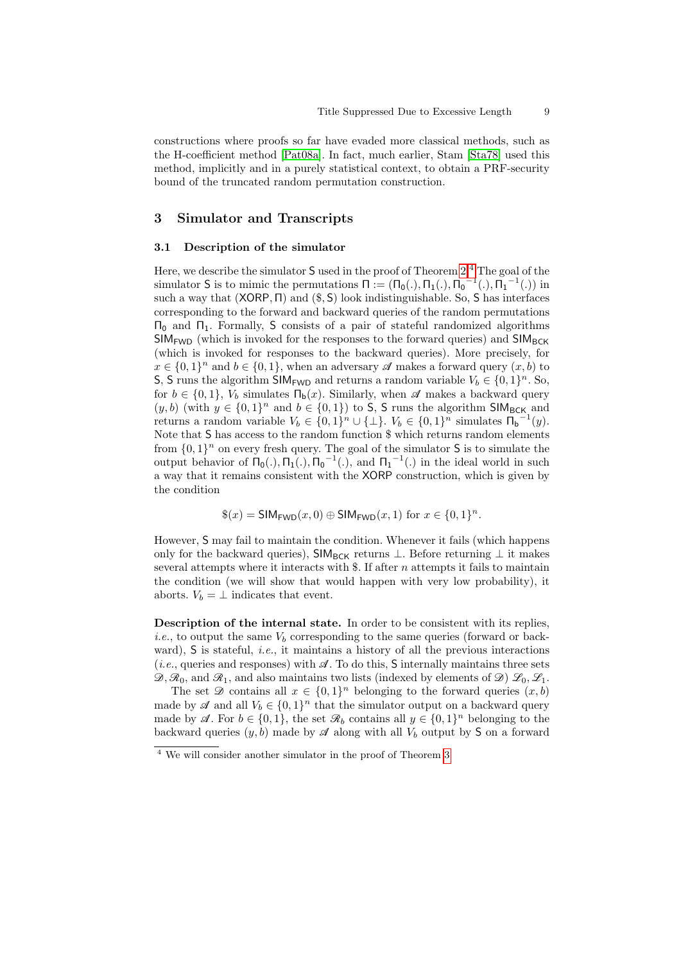constructions where proofs so far have evaded more classical methods, such as the H-coefficient method [\[Pat08a\]](#page-24-11). In fact, much earlier, Stam [\[Sta78\]](#page-25-4) used this method, implicitly and in a purely statistical context, to obtain a PRF-security bound of the truncated random permutation construction.

# <span id="page-8-0"></span>3 Simulator and Transcripts

#### 3.1 Description of the simulator

Here, we describe the simulator  $S$  used in the proof of Theorem  $2<sup>4</sup>$  $2<sup>4</sup>$  $2<sup>4</sup>$  The goal of the simulator S is to mimic the permutations  $\Pi := (\Pi_0(.), \Pi_1(.), \Pi_0^{-1}(.) , \Pi_1^{-1}(.) )$  in such a way that  $(XORP, \Pi)$  and  $(\$, S)$  look indistinguishable. So, S has interfaces corresponding to the forward and backward queries of the random permutations  $Π<sub>0</sub>$  and  $Π<sub>1</sub>$ . Formally, S consists of a pair of stateful randomized algorithms  $SIM_{FWD}$  (which is invoked for the responses to the forward queries) and  $SIM_{BCK}$ (which is invoked for responses to the backward queries). More precisely, for  $x \in \{0,1\}^n$  and  $b \in \{0,1\}$ , when an adversary  $\mathscr A$  makes a forward query  $(x, b)$  to S, S runs the algorithm SIM<sub>FWD</sub> and returns a random variable  $V_b \in \{0,1\}^n$ . So, for  $b \in \{0, 1\}$ ,  $V_b$  simulates  $\Pi_b(x)$ . Similarly, when  $\mathscr A$  makes a backward query  $(y, b)$  (with  $y \in \{0, 1\}^n$  and  $b \in \{0, 1\}$ ) to S, S runs the algorithm SIM<sub>BCK</sub> and returns a random variable  $V_b \in \{0,1\}^n \cup \{\perp\}$ .  $V_b \in \{0,1\}^n$  simulates  $\Pi_b^{-1}(y)$ . Note that S has access to the random function \$ which returns random elements from  $\{0,1\}^n$  on every fresh query. The goal of the simulator S is to simulate the output behavior of  $\Pi_0(.)$ ,  $\Pi_1(.)$ ,  $\Pi_0^{-1}(.)$ , and  $\Pi_1^{-1}(.)$  in the ideal world in such a way that it remains consistent with the XORP construction, which is given by the condition

$$
\$(x) = SIM_{FWD}(x, 0) \oplus SIM_{FWD}(x, 1) \text{ for } x \in \{0, 1\}^n.
$$

However, S may fail to maintain the condition. Whenever it fails (which happens only for the backward queries),  $\mathsf{SIM}_{\mathsf{BCK}}$  returns  $\perp$ . Before returning  $\perp$  it makes several attempts where it interacts with  $\$ . If after  $n$  attempts it fails to maintain the condition (we will show that would happen with very low probability), it aborts.  $V_b = \perp$  indicates that event.

Description of the internal state. In order to be consistent with its replies, *i.e.*, to output the same  $V_b$  corresponding to the same queries (forward or backward), S is stateful, *i.e.*, it maintains a history of all the previous interactions (*i.e.*, queries and responses) with  $\mathcal{A}$ . To do this, S internally maintains three sets  $\mathscr{D}, \mathscr{R}_0$ , and  $\mathscr{R}_1$ , and also maintains two lists (indexed by elements of  $\mathscr{D}$ )  $\mathscr{L}_0, \mathscr{L}_1$ .

The set  $\mathscr D$  contains all  $x \in \{0,1\}^n$  belonging to the forward queries  $(x, b)$ made by  $\mathscr A$  and all  $V_b \in \{0,1\}^n$  that the simulator output on a backward query made by  $\mathscr{A}$ . For  $b \in \{0,1\}$ , the set  $\mathscr{R}_b$  contains all  $y \in \{0,1\}^n$  belonging to the backward queries  $(y, b)$  made by  $\mathscr A$  along with all  $V_b$  output by S on a forward

<span id="page-8-1"></span><sup>4</sup> We will consider another simulator in the proof of Theorem [3](#page-21-0)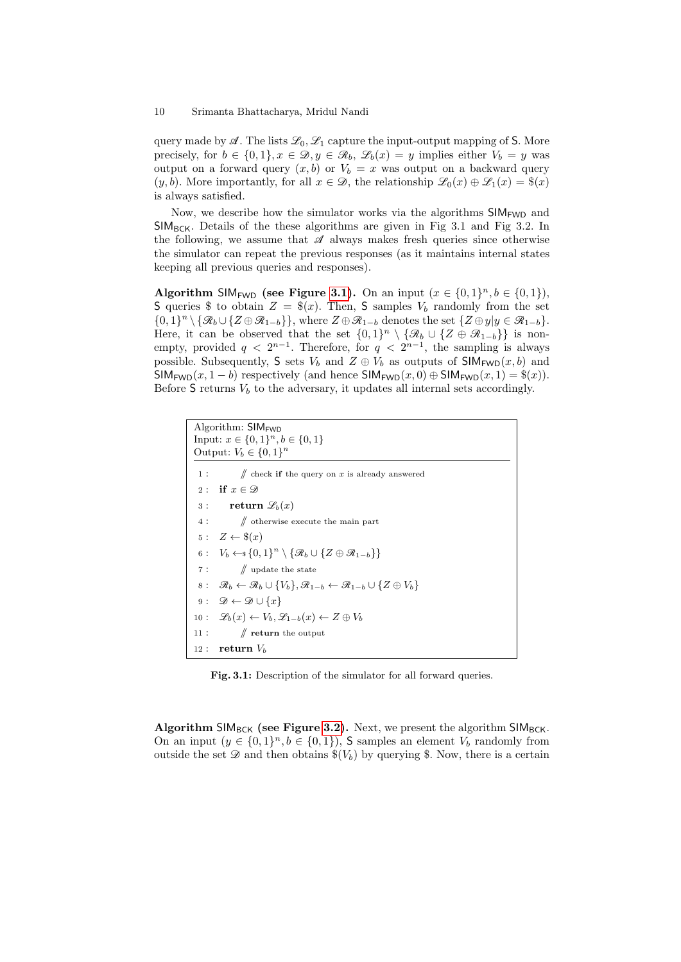query made by  $\mathscr A$ . The lists  $\mathscr L_0, \mathscr L_1$  capture the input-output mapping of S. More precisely, for  $b \in \{0,1\}, x \in \mathcal{D}, y \in \mathcal{R}_b, \mathcal{L}_b(x) = y$  implies either  $V_b = y$  was output on a forward query  $(x, b)$  or  $V_b = x$  was output on a backward query  $(y, b)$ . More importantly, for all  $x \in \mathcal{D}$ , the relationship  $\mathcal{L}_0(x) \oplus \mathcal{L}_1(x) = \$(x)$ is always satisfied.

Now, we describe how the simulator works via the algorithms  $SIM_{FWD}$  and  $SIM_{BCK}$ . Details of the these algorithms are given in Fig 3.1 and Fig 3.2. In the following, we assume that  $\mathscr A$  always makes fresh queries since otherwise the simulator can repeat the previous responses (as it maintains internal states keeping all previous queries and responses).

Algorithm SIM<sub>FWD</sub> (see Figure [3.1\)](#page-9-0). On an input  $(x \in \{0,1\}^n, b \in \{0,1\}),$ S queries \$ to obtain  $Z = \frac{6}{x}$ . Then, S samples  $V_b$  randomly from the set  $\{0,1\}^n \setminus \{\mathcal{R}_b \cup \{Z \oplus \mathcal{R}_{1-b}\}\}\,$ , where  $Z \oplus \mathcal{R}_{1-b}$  denotes the set  $\{Z \oplus y | y \in \mathcal{R}_{1-b}\}\.$ Here, it can be observed that the set  $\{0,1\}^n \setminus \{\mathcal{R}_b \cup \{Z \oplus \mathcal{R}_{1-b}\}\}\$ is nonempty, provided  $q < 2^{n-1}$ . Therefore, for  $q < 2^{n-1}$ , the sampling is always possible. Subsequently, S sets  $V_b$  and  $Z \oplus V_b$  as outputs of SIM<sub>FWD</sub> $(x, b)$  and  $\mathsf{SIM}_{\mathsf{FWD}}(x,1-b)$  respectively (and hence  $\mathsf{SIM}_{\mathsf{FWD}}(x,0) \oplus \mathsf{SIM}_{\mathsf{FWD}}(x,1) = \$(x)).$ Before  $S$  returns  $V_b$  to the adversary, it updates all internal sets accordingly.

```
Algorithm: SIM<sub>FWD</sub>
Input: x \in \{0,1\}^n, b \in \{0,1\}Output: V_b \in \{0,1\}^n\sqrt{ } check if the query on x is already answered
 2 : if x \in \mathcal{D}3 : return \mathscr{L}_b(x)4 : // otherwise execute the main part
 5: Z \leftarrow \$(x)6: V_b \leftarrow \{0,1\}^n \setminus {\mathcal{R}_b \cup {\mathcal{Z} \oplus \mathcal{R}_{1-b}}\}7 : \qquad \qquad \mathord{\text{\|}} update the state
 8 : \mathcal{R}_b \leftarrow \mathcal{R}_b \cup \{V_b\}, \mathcal{R}_{1-b} \leftarrow \mathcal{R}_{1-b} \cup \{Z \oplus V_b\}9: \mathscr{D} \leftarrow \mathscr{D} \cup \{x\}10 : \mathscr{L}_b(x) \leftarrow V_b, \mathscr{L}_{1-b}(x) \leftarrow Z \oplus V_b11 : \mathcal{N} return the output
12 : return V_b
```
Fig. 3.1: Description of the simulator for all forward queries.

Algorithm SIM<sub>BCK</sub> (see Figure [3.2\)](#page-11-0). Next, we present the algorithm SIM<sub>BCK</sub>. On an input  $(y \in \{0,1\}^n, b \in \{0,1\})$ , S samples an element  $V_b$  randomly from outside the set  $\mathscr D$  and then obtains  $\$(V_b)$  by querying \$. Now, there is a certain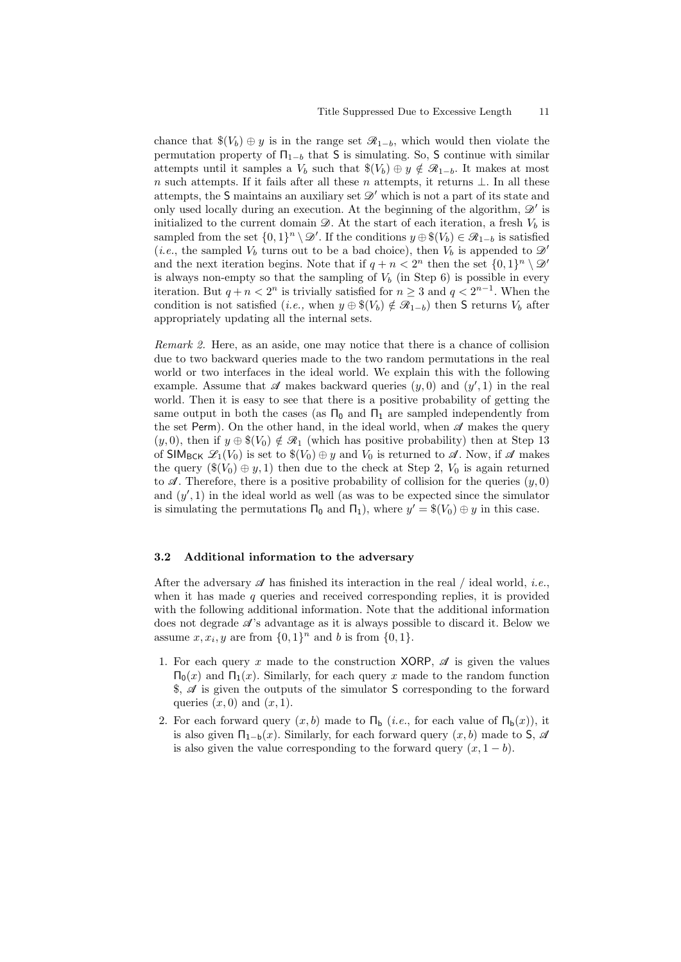chance that  $\$(V_b) \oplus y$  is in the range set  $\mathcal{R}_{1-b}$ , which would then violate the permutation property of  $\Pi_{1-b}$  that S is simulating. So, S continue with similar attempts until it samples a  $V_b$  such that  $\$(V_b) \oplus y \notin \mathcal{R}_{1-b}$ . It makes at most n such attempts. If it fails after all these n attempts, it returns  $\perp$ . In all these attempts, the S maintains an auxiliary set  $\mathscr{D}'$  which is not a part of its state and only used locally during an execution. At the beginning of the algorithm,  $\mathscr{D}'$  is initialized to the current domain  $\mathcal{D}$ . At the start of each iteration, a fresh  $V_b$  is sampled from the set  $\{0,1\}^n \setminus \mathscr{D}'$ . If the conditions  $y \oplus \mathscr{S}(V_b) \in \mathscr{R}_{1-b}$  is satisfied (*i.e.*, the sampled  $V_b$  turns out to be a bad choice), then  $V_b$  is appended to  $\mathscr{D}'$ and the next iteration begins. Note that if  $q + n < 2^n$  then the set  $\{0, 1\}^n \setminus \mathcal{D}'$ is always non-empty so that the sampling of  $V_b$  (in Step 6) is possible in every iteration. But  $q + n < 2^n$  is trivially satisfied for  $n \geq 3$  and  $q < 2^{n-1}$ . When the condition is not satisfied (*i.e.*, when  $y \oplus \mathcal{F}(V_b) \notin \mathcal{R}_{1-b}$ ) then S returns  $V_b$  after appropriately updating all the internal sets.

Remark 2. Here, as an aside, one may notice that there is a chance of collision due to two backward queries made to the two random permutations in the real world or two interfaces in the ideal world. We explain this with the following example. Assume that  $\mathscr A$  makes backward queries  $(y,0)$  and  $(y',1)$  in the real world. Then it is easy to see that there is a positive probability of getting the same output in both the cases (as  $\Pi_0$  and  $\Pi_1$  are sampled independently from the set Perm). On the other hand, in the ideal world, when  $\mathscr A$  makes the query  $(y, 0)$ , then if  $y \oplus \mathcal{K}(V_0) \notin \mathcal{R}_1$  (which has positive probability) then at Step 13 of SIM<sub>BCK</sub>  $\mathscr{L}_1(V_0)$  is set to  $\$(V_0) \oplus y$  and  $V_0$  is returned to  $\mathscr{A}$ . Now, if  $\mathscr{A}$  makes the query  $(\$(V_0) \oplus y, 1)$  then due to the check at Step 2,  $V_0$  is again returned to  $\mathscr A$ . Therefore, there is a positive probability of collision for the queries  $(y, 0)$ and  $(y', 1)$  in the ideal world as well (as was to be expected since the simulator is simulating the permutations  $\Pi_0$  and  $\Pi_1$ ), where  $y' = \$(V_0) \oplus y$  in this case.

#### 3.2 Additional information to the adversary

After the adversary  $\mathscr A$  has finished its interaction in the real / ideal world, *i.e.*, when it has made  $q$  queries and received corresponding replies, it is provided with the following additional information. Note that the additional information does not degrade  $\mathscr{A}$ 's advantage as it is always possible to discard it. Below we assume  $x, x_i, y$  are from  $\{0, 1\}^n$  and b is from  $\{0, 1\}$ .

- 1. For each query x made to the construction XORP,  $\mathscr A$  is given the values  $Π_0(x)$  and  $Π_1(x)$ . Similarly, for each query x made to the random function  $\$, \mathscr{A}$ is given the outputs of the simulator S corresponding to the forward$ queries  $(x, 0)$  and  $(x, 1)$ .
- 2. For each forward query  $(x, b)$  made to  $\Pi_b$  (*i.e.*, for each value of  $\Pi_b(x)$ ), it is also given  $\Pi_{1-b}(x)$ . Similarly, for each forward query  $(x, b)$  made to S,  $\mathscr A$ is also given the value corresponding to the forward query  $(x, 1 - b)$ .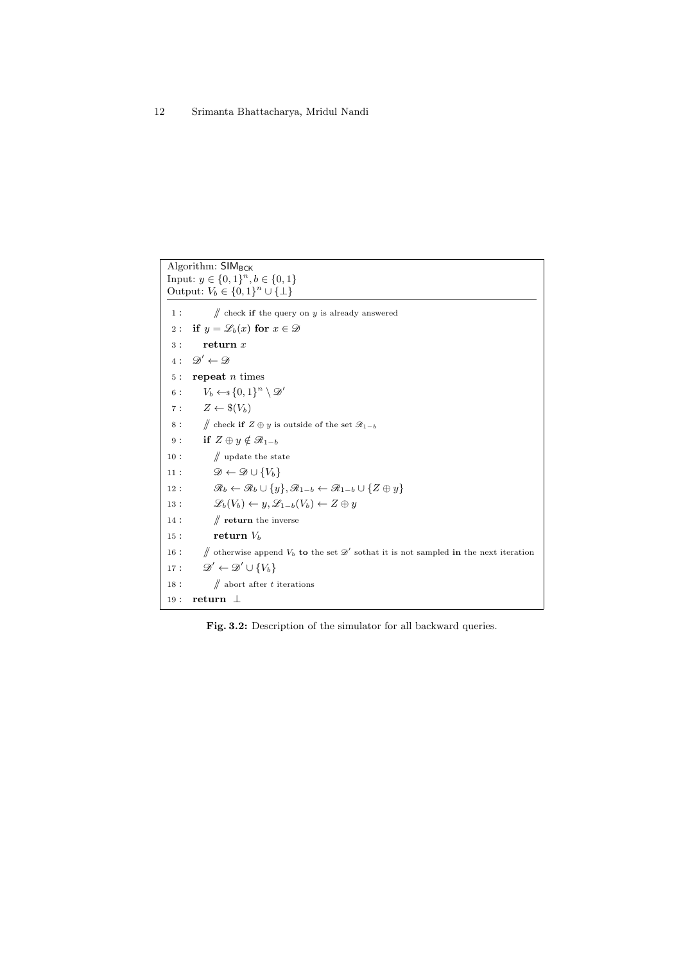<span id="page-11-0"></span>Algorithm: SIM<sub>BCK</sub> Input:  $y \in \{0, 1\}^n, b \in \{0, 1\}$ Output:  $V_b \in \{0,1\}^n \cup \{\perp\}$ 1 :  $\mathcal{U}$  check if the query on y is already answered 2 : if  $y = \mathscr{L}_b(x)$  for  $x \in \mathscr{D}$  $3:$  return  $x$ 4:  $\mathscr{D}' \leftarrow \mathscr{D}$ 5 : repeat  $n$  times 6 :  $V_b \leftarrow \{0,1\}^n \setminus \mathscr{D}'$ 7 :  $Z \leftarrow \$(V_b)$ 8 : // check if  $Z \oplus y$  is outside of the set  $\mathcal{R}_{1-b}$ 9 : if  $Z \oplus y \notin \mathcal{R}_{1-b}$ 10 :  $\mathcal{U}$  update the state 11 :  $\mathscr{D} \leftarrow \mathscr{D} \cup \{V_b\}$ 12 :  $\mathscr{R}_b \leftarrow \mathscr{R}_b \cup \{y\}, \mathscr{R}_{1-b} \leftarrow \mathscr{R}_{1-b} \cup \{Z \oplus y\}$ 13 :  $\mathscr{L}_b(V_b) \leftarrow y, \mathscr{L}_{1-b}(V_b) \leftarrow Z \oplus y$ 14 :  $\mathcal{N}$  return the inverse 15 : return  $V_b$ 16 :  $\#$  otherwise append  $V_b$  to the set  $\mathscr{D}'$  sothat it is not sampled in the next iteration  $17:$  $v' \leftarrow \mathscr{D}' \cup \{V_b\}$ 18 :  $\mathcal N$  abort after t iterations 19 : return ⊥

Fig. 3.2: Description of the simulator for all backward queries.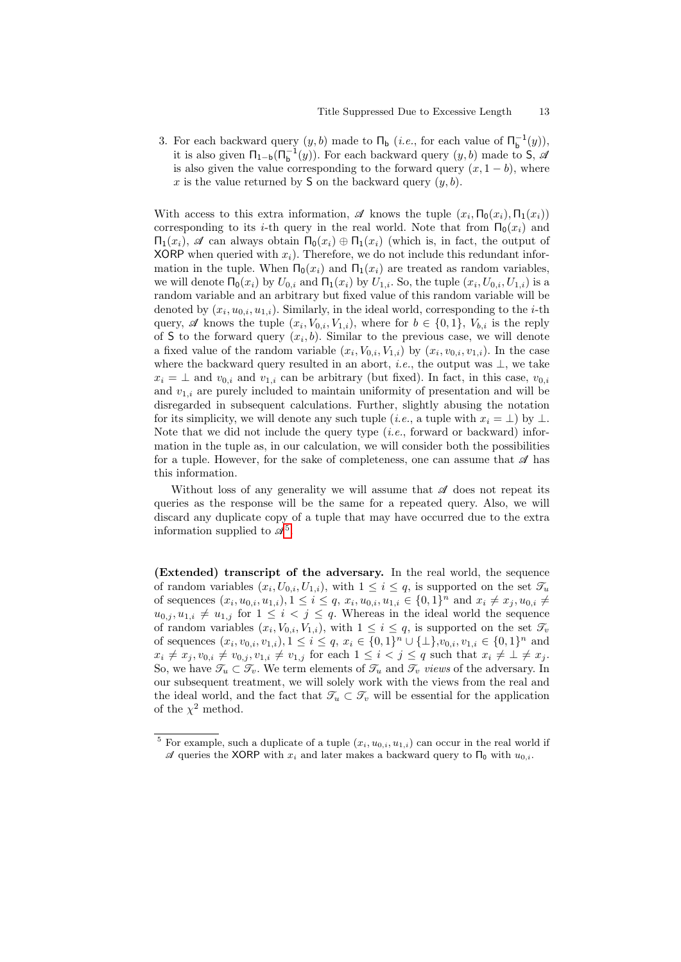3. For each backward query  $(y, b)$  made to  $\Pi_{\mathbf{b}}$  (*i.e.*, for each value of  $\Pi_{\mathbf{b}}^{-1}(y)$ ), it is also given  $\Pi_{1-b}(\Pi_b^{-1}(y))$ . For each backward query  $(y, b)$  made to S,  $\mathscr A$ is also given the value corresponding to the forward query  $(x, 1 - b)$ , where x is the value returned by S on the backward query  $(y, b)$ .

With access to this extra information,  $\mathscr A$  knows the tuple  $(x_i, \Pi_0(x_i), \Pi_1(x_i))$ corresponding to its *i*-th query in the real world. Note that from  $\Pi_0(x_i)$  and  $Π_1(x_i)$ ,  $\mathscr A$  can always obtain  $Π_0(x_i) \oplus Π_1(x_i)$  (which is, in fact, the output of XORP when queried with  $x_i$ ). Therefore, we do not include this redundant information in the tuple. When  $\Pi_0(x_i)$  and  $\Pi_1(x_i)$  are treated as random variables, we will denote  $\Pi_0(x_i)$  by  $U_{0,i}$  and  $\Pi_1(x_i)$  by  $U_{1,i}$ . So, the tuple  $(x_i, U_{0,i}, U_{1,i})$  is a random variable and an arbitrary but fixed value of this random variable will be denoted by  $(x_i, u_{0,i}, u_{1,i})$ . Similarly, in the ideal world, corresponding to the *i*-th query, A knows the tuple  $(x_i, V_{0,i}, V_{1,i})$ , where for  $b \in \{0, 1\}$ ,  $V_{b,i}$  is the reply of S to the forward query  $(x_i, b)$ . Similar to the previous case, we will denote a fixed value of the random variable  $(x_i, V_{0,i}, V_{1,i})$  by  $(x_i, v_{0,i}, v_{1,i})$ . In the case where the backward query resulted in an abort, *i.e.*, the output was  $\perp$ , we take  $x_i = \perp$  and  $v_{0,i}$  and  $v_{1,i}$  can be arbitrary (but fixed). In fact, in this case,  $v_{0,i}$ and  $v_{1,i}$  are purely included to maintain uniformity of presentation and will be disregarded in subsequent calculations. Further, slightly abusing the notation for its simplicity, we will denote any such tuple (*i.e.*, a tuple with  $x_i = \perp$ ) by  $\perp$ . Note that we did not include the query type  $(i.e.,$  forward or backward) information in the tuple as, in our calculation, we will consider both the possibilities for a tuple. However, for the sake of completeness, one can assume that  $\mathscr A$  has this information.

Without loss of any generality we will assume that  $\mathscr A$  does not repeat its queries as the response will be the same for a repeated query. Also, we will discard any duplicate copy of a tuple that may have occurred due to the extra information supplied to  $\mathscr{A}^5$  $\mathscr{A}^5$ .

(Extended) transcript of the adversary. In the real world, the sequence of random variables  $(x_i, U_{0,i}, U_{1,i})$ , with  $1 \leq i \leq q$ , is supported on the set  $\mathcal{T}_u$ of sequences  $(x_i, u_{0,i}, u_{1,i}), 1 \le i \le q$ ,  $x_i, u_{0,i}, u_{1,i} \in \{0, 1\}^n$  and  $x_i \neq x_j, u_{0,i} \neq z_j$  $u_{0,j}, u_{1,i} \neq u_{1,j}$  for  $1 \leq i \leq j \leq q$ . Whereas in the ideal world the sequence of random variables  $(x_i, V_{0,i}, V_{1,i})$ , with  $1 \leq i \leq q$ , is supported on the set  $\mathcal{T}_v$ of sequences  $(x_i, v_{0,i}, v_{1,i}), 1 \leq i \leq q$ ,  $x_i \in \{0, 1\}^n \cup \{\perp\}, v_{0,i}, v_{1,i} \in \{0, 1\}^n$  and  $x_i \neq x_j, v_{0,i} \neq v_{0,j}, v_{1,i} \neq v_{1,j}$  for each  $1 \leq i < j \leq q$  such that  $x_i \neq \bot \neq x_j$ . So, we have  $\mathcal{T}_u \subset \mathcal{T}_v$ . We term elements of  $\mathcal{T}_u$  and  $\mathcal{T}_v$  views of the adversary. In our subsequent treatment, we will solely work with the views from the real and the ideal world, and the fact that  $\mathcal{T}_u \subset \mathcal{T}_v$  will be essential for the application of the  $\chi^2$  method.

<span id="page-12-0"></span><sup>&</sup>lt;sup>5</sup> For example, such a duplicate of a tuple  $(x_i, u_{0,i}, u_{1,i})$  can occur in the real world if  $\mathscr A$  queries the XORP with  $x_i$  and later makes a backward query to  $\Pi_0$  with  $u_{0,i}$ .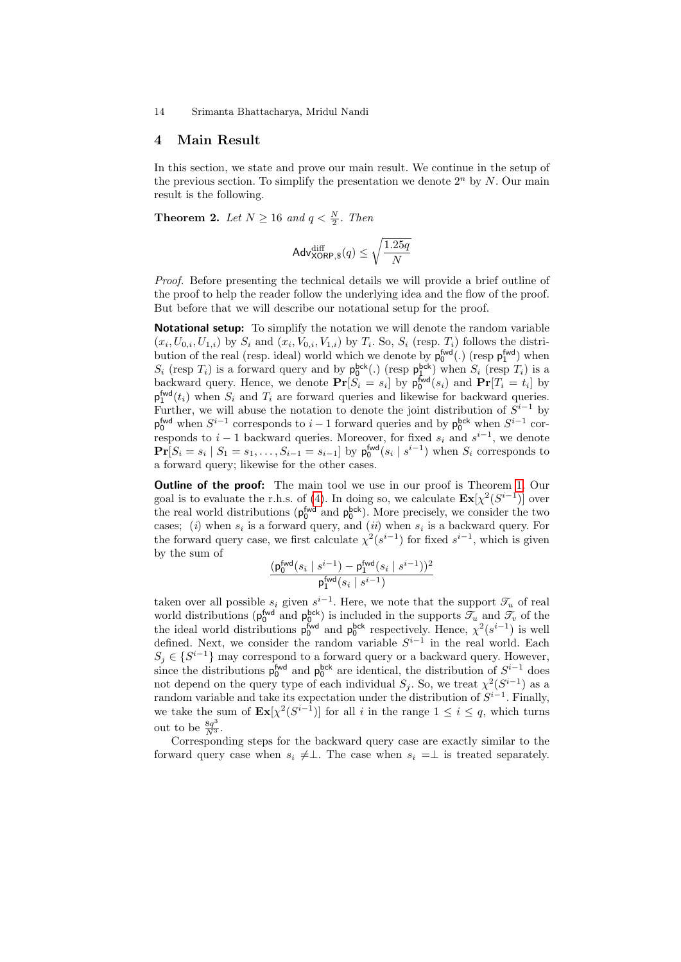## <span id="page-13-1"></span>4 Main Result

In this section, we state and prove our main result. We continue in the setup of the previous section. To simplify the presentation we denote  $2<sup>n</sup>$  by N. Our main result is the following.

<span id="page-13-0"></span>**Theorem 2.** Let  $N \geq 16$  and  $q < \frac{N}{2}$ . Then

$$
\mathsf{Adv}_{\mathsf{XORP},\$}^{\text{diff}}(q) \leq \sqrt{\frac{1.25q}{N}}
$$

Proof. Before presenting the technical details we will provide a brief outline of the proof to help the reader follow the underlying idea and the flow of the proof. But before that we will describe our notational setup for the proof.

Notational setup: To simplify the notation we will denote the random variable  $(x_i, U_{0,i}, U_{1,i})$  by  $S_i$  and  $(x_i, V_{0,i}, V_{1,i})$  by  $T_i$ . So,  $S_i$  (resp.  $T_i$ ) follows the distribution of the real (resp. ideal) world which we denote by  $p_0^{\text{fwd}}(.)$  (resp  $p_1^{\text{fwd}})$  when  $S_i$  (resp  $T_i$ ) is a forward query and by  $p_0^{bck}$ .) (resp  $p_1^{bck}$ ) when  $S_i$  (resp  $T_i$ ) is a backward query. Hence, we denote  $\mathbf{Pr}[S_i = s_i]$  by  $p_0^{\text{fwd}}(s_i)$  and  $\mathbf{Pr}[T_i = t_i]$  by  $p_1^{\text{fwd}}(t_i)$  when  $S_i$  and  $T_i$  are forward queries and likewise for backward queries. Further, we will abuse the notation to denote the joint distribution of  $S^{i-1}$  by  $p_0^{\text{fwd}}$  when  $S^{i-1}$  corresponds to  $i-1$  forward queries and by  $p_0^{\text{bck}}$  when  $S^{i-1}$  corresponds to  $i-1$  backward queries. Moreover, for fixed  $s_i$  and  $s^{i-1}$ , we denote  $Pr[S_i = s_i | S_1 = s_1, ..., S_{i-1} = s_{i-1}]$  by  $p_0^{fwd}(s_i | s^{i-1})$  when  $S_i$  corresponds to a forward query; likewise for the other cases.

**Outline of the proof:** The main tool we use in our proof is Theorem [1.](#page-7-1) Our goal is to evaluate the r.h.s. of [\(4\)](#page-7-3). In doing so, we calculate  $\mathbf{Ex}[\chi^2(S^{i-1})]$  over the real world distributions ( $p_0^{\text{fwd}}$  and  $p_0^{\text{bck}}$ ). More precisely, we consider the two cases; (i) when  $s_i$  is a forward query, and (ii) when  $s_i$  is a backward query. For the forward query case, we first calculate  $\chi^2(s^{i-1})$  for fixed  $s^{i-1}$ , which is given by the sum of

$$
\frac{(\mathsf{p}^{\mathsf{fwd}}_{0}(s_i \mid s^{i-1}) - \mathsf{p}^{\mathsf{fwd}}_{1}(s_i \mid s^{i-1}))^2}{\mathsf{p}^{\mathsf{fwd}}_{1}(s_i \mid s^{i-1})}
$$

taken over all possible  $s_i$  given  $s^{i-1}$ . Here, we note that the support  $\mathcal{T}_u$  of real world distributions ( $p_0^{\text{fwd}}$  and  $p_0^{\text{bck}}$ ) is included in the supports  $\mathcal{T}_u$  and  $\mathcal{T}_v$  of the the ideal world distributions  $p_0^{fwd}$  and  $p_0^{bck}$  respectively. Hence,  $\chi^2(s^{i-1})$  is well defined. Next, we consider the random variable  $S^{i-1}$  in the real world. Each  $S_j \in \{S^{i-1}\}\$  may correspond to a forward query or a backward query. However, since the distributions  $p_0^{\text{fwd}}$  and  $p_0^{\text{bck}}$  are identical, the distribution of  $S^{i-1}$  does not depend on the query type of each individual  $S_j$ . So, we treat  $\chi^2(S^{i-1})$  as a random variable and take its expectation under the distribution of  $S^{i-1}$ . Finally, we take the sum of  $\mathbf{Ex}[\chi^2(S^{i-1})]$  for all i in the range  $1 \leq i \leq q$ , which turns out to be  $\frac{8q^3}{N^3}$ .

Corresponding steps for the backward query case are exactly similar to the forward query case when  $s_i \neq \perp$ . The case when  $s_i = \perp$  is treated separately.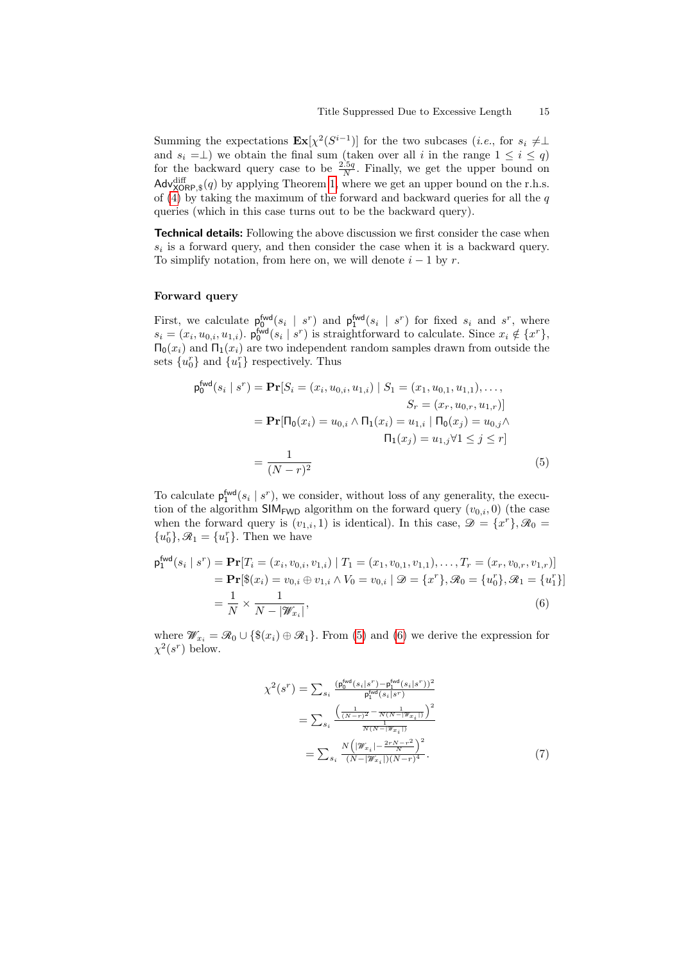Summing the expectations  $\mathbf{Ex}[\chi^2(S^{i-1})]$  for the two subcases (*i.e.*, for  $s_i \neq \perp$ and  $s_i = \perp$ ) we obtain the final sum (taken over all i in the range  $1 \leq i \leq q$ ) for the backward query case to be  $\frac{2.5q}{N}$ . Finally, we get the upper bound on  $\mathsf{Adv}_{\mathsf{XORP},\$}^{\text{diff}}(q)$  by applying Theorem [1,](#page-7-1) where we get an upper bound on the r.h.s. of [\(4\)](#page-7-3) by taking the maximum of the forward and backward queries for all the  $q$ queries (which in this case turns out to be the backward query).

**Technical details:** Following the above discussion we first consider the case when  $s_i$  is a forward query, and then consider the case when it is a backward query. To simplify notation, from here on, we will denote  $i - 1$  by r.

## Forward query

First, we calculate  $p_0^{\text{fwd}}(s_i \mid s^r)$  and  $p_1^{\text{fwd}}(s_i \mid s^r)$  for fixed  $s_i$  and  $s^r$ , where  $s_i = (x_i, u_{0,i}, u_{1,i})$ .  $\mathsf{p}_0^{\mathsf{fwd}}(s_i \mid s^r)$  is straightforward to calculate. Since  $x_i \notin \{x^r\},$  $\Pi_0(x_i)$  and  $\Pi_1(x_i)$  are two independent random samples drawn from outside the sets  $\{u_0^r\}$  and  $\{u_1^r\}$  respectively. Thus

<span id="page-14-0"></span>
$$
\mathbf{p}_{0}^{\text{fwd}}(s_{i} \mid s^{r}) = \mathbf{Pr}[S_{i} = (x_{i}, u_{0,i}, u_{1,i}) \mid S_{1} = (x_{1}, u_{0,1}, u_{1,1}), \dots, S_{r} = (x_{r}, u_{0,r}, u_{1,r})]
$$
\n
$$
= \mathbf{Pr}[\Pi_{0}(x_{i}) = u_{0,i} \land \Pi_{1}(x_{i}) = u_{1,i} \mid \Pi_{0}(x_{j}) = u_{0,j} \land \Pi_{1}(x_{j}) = u_{1,j} \forall 1 \leq j \leq r]
$$
\n
$$
= \frac{1}{(N-r)^{2}}
$$
\n(5)

To calculate  $p_1^{\text{fwd}}(s_i \mid s^r)$ , we consider, without loss of any generality, the execution of the algorithm  $\text{SIM}_{\text{FWD}}$  algorithm on the forward query  $(v_{0,i}, 0)$  (the case when the forward query is  $(v_{1,i}, 1)$  is identical). In this case,  $\mathscr{D} = \{x^r\}, \mathscr{R}_0 =$  ${u_0^r}, \mathcal{R}_1 = {u_1^r}.$  Then we have

$$
\mathbf{p}_{1}^{\text{fwd}}(s_{i} \mid s^{r}) = \mathbf{Pr}[T_{i} = (x_{i}, v_{0,i}, v_{1,i}) \mid T_{1} = (x_{1}, v_{0,1}, v_{1,1}), \dots, T_{r} = (x_{r}, v_{0,r}, v_{1,r})]
$$
\n
$$
= \mathbf{Pr}[\$(x_{i}) = v_{0,i} \oplus v_{1,i} \land V_{0} = v_{0,i} \mid \mathcal{D} = \{x^{r}\}, \mathcal{R}_{0} = \{u_{0}^{r}\}, \mathcal{R}_{1} = \{u_{1}^{r}\}]
$$
\n
$$
= \frac{1}{N} \times \frac{1}{N - |\mathcal{W}_{x_{i}}|},
$$
\n(6)

where  $\mathscr{W}_{x_i} = \mathscr{R}_0 \cup \{\$(x_i) \oplus \mathscr{R}_1\}$ . From [\(5\)](#page-14-0) and [\(6\)](#page-14-1) we derive the expression for  $\chi^2(s^r)$  below.

<span id="page-14-2"></span><span id="page-14-1"></span>
$$
\chi^{2}(s^{r}) = \sum_{s_{i}} \frac{(\mathbf{p}_{0}^{\text{fwd}}(s_{i}|s^{r}) - \mathbf{p}_{1}^{\text{fwd}}(s_{i}|s^{r}))^{2}}{\mathbf{p}_{1}^{\text{fwd}}(s_{i}|s^{r})}
$$
\n
$$
= \sum_{s_{i}} \frac{\left(\frac{1}{(N-r)^{2}} - \frac{1}{N(N-\|\mathcal{W}_{x_{i}}\|)}\right)^{2}}{\frac{1}{N(N-\|\mathcal{W}_{x_{i}}\|)}}
$$
\n
$$
= \sum_{s_{i}} \frac{N\left(\|\mathcal{W}_{x_{i}}\| - \frac{2rN-r^{2}}{N}\right)^{2}}{(N-\|\mathcal{W}_{x_{i}}\|)(N-r)^{4}}.
$$
\n(7)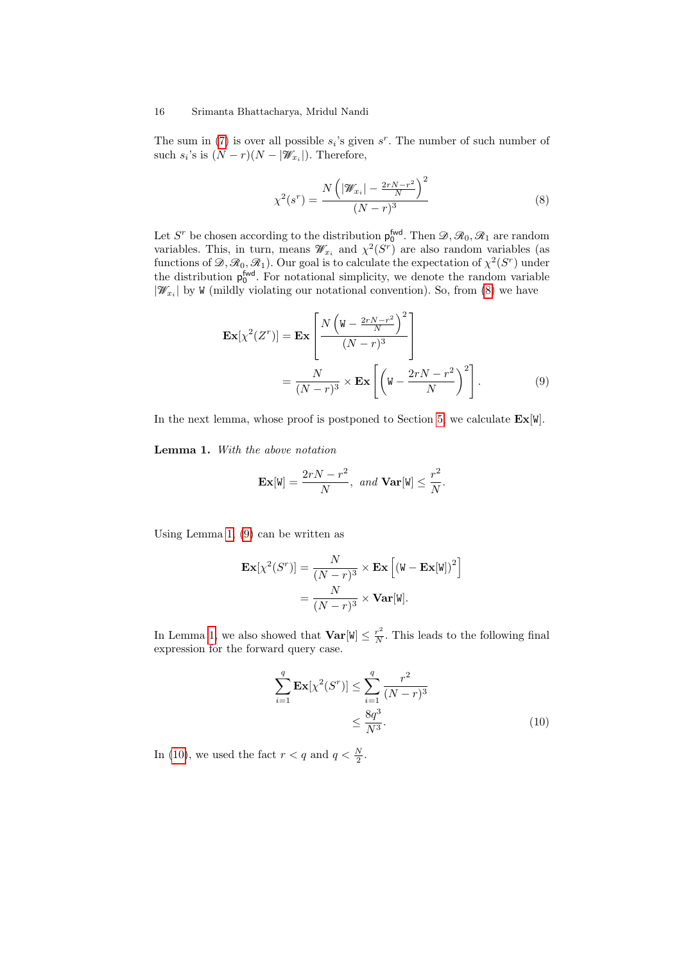The sum in [\(7\)](#page-14-2) is over all possible  $s_i$ 's given  $s^r$ . The number of such number of such  $s_i$ 's is  $(N - r)(N - |\mathscr{W}_{x_i}|)$ . Therefore,

<span id="page-15-0"></span>
$$
\chi^{2}(s^{r}) = \frac{N\left(|\mathcal{W}_{x_{i}}| - \frac{2rN - r^{2}}{N}\right)^{2}}{(N - r)^{3}}
$$
\n(8)

Let S<sup>r</sup> be chosen according to the distribution  $p_0^{\text{fwd}}$ . Then  $\mathscr{D}, \mathscr{R}_0, \mathscr{R}_1$  are random variables. This, in turn, means  $\mathcal{W}_{x_i}$  and  $\chi^2(S^r)$  are also random variables (as functions of  $\mathscr{D}, \mathscr{R}_0, \mathscr{R}_1$ ). Our goal is to calculate the expectation of  $\chi^2(S^r)$  under the distribution  $p_0^{\text{fwd}}$ . For notational simplicity, we denote the random variable  $|\mathcal{W}_{x_i}|$  by W (mildly violating our notational convention). So, from [\(8\)](#page-15-0) we have

$$
\mathbf{Ex}[\chi^2(Z^r)] = \mathbf{Ex} \left[ \frac{N\left(\mathbf{W} - \frac{2rN - r^2}{N}\right)^2}{(N - r)^3} \right]
$$
  
=  $\frac{N}{(N - r)^3} \times \mathbf{Ex} \left[ \left(\mathbf{W} - \frac{2rN - r^2}{N}\right)^2 \right].$  (9)

<span id="page-15-1"></span>In the next lemma, whose proof is postponed to Section [5,](#page-19-0) we calculate  $\text{Ex}[W]$ .

Lemma 1. With the above notation

<span id="page-15-2"></span>
$$
\mathbf{Ex}[W] = \frac{2rN - r^2}{N}, \text{ and } \mathbf{Var}[W] \le \frac{r^2}{N}.
$$

Using Lemma [1,](#page-15-1) [\(9\)](#page-15-2) can be written as

$$
\mathbf{Ex}[\chi^2(S^r)] = \frac{N}{(N-r)^3} \times \mathbf{Ex} [(\mathbf{W} - \mathbf{Ex}[\mathbf{W}])^2]
$$

$$
= \frac{N}{(N-r)^3} \times \mathbf{Var}[\mathbf{W}].
$$

In Lemma [1,](#page-15-1) we also showed that  $\mathbf{Var}[\mathbf{W}] \leq \frac{r^2}{N}$  $\frac{r^2}{N}$ . This leads to the following final expression for the forward query case.

<span id="page-15-3"></span>
$$
\sum_{i=1}^{q} \mathbf{Ex}[\chi^{2}(S^{r})] \leq \sum_{i=1}^{q} \frac{r^{2}}{(N-r)^{3}}
$$
  
 
$$
\leq \frac{8q^{3}}{N^{3}}.
$$
 (10)

In [\(10\)](#page-15-3), we used the fact  $r < q$  and  $q < \frac{N}{2}$ .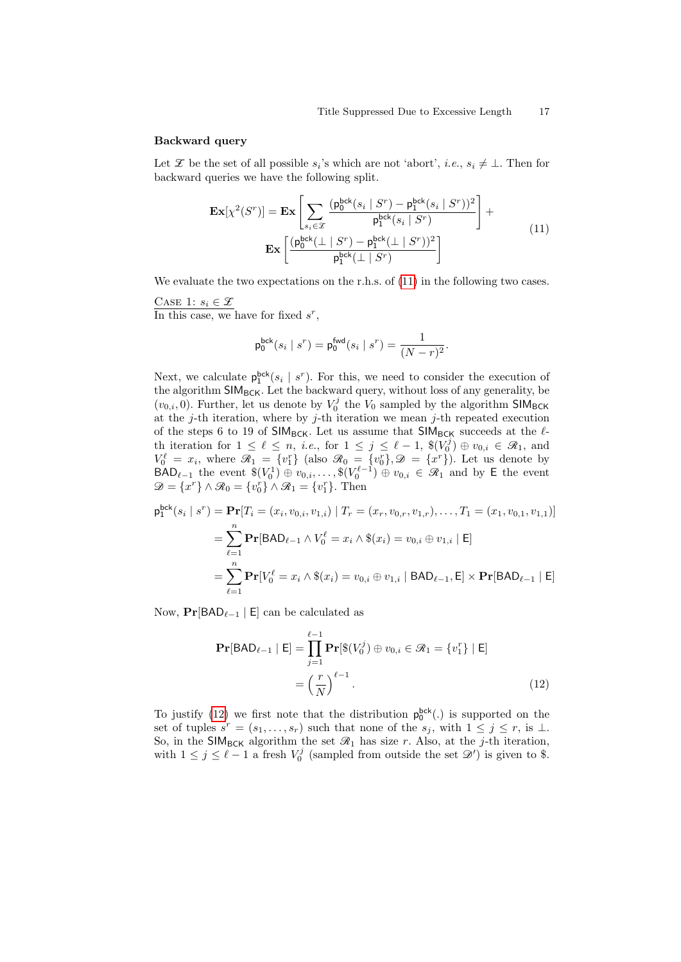#### Backward query

Let  $\mathscr X$  be the set of all possible  $s_i$ 's which are not 'abort', *i.e.*,  $s_i \neq \bot$ . Then for backward queries we have the following split.

$$
\mathbf{Ex}[\chi^{2}(S^{r})] = \mathbf{Ex} \left[ \sum_{s_{i} \in \mathcal{X}} \frac{(\mathbf{p}_{0}^{\text{bck}}(s_{i} \mid S^{r}) - \mathbf{p}_{1}^{\text{bck}}(s_{i} \mid S^{r}))^{2}}{\mathbf{p}_{1}^{\text{bck}}(s_{i} \mid S^{r})} \right] + \mathbf{Ex} \left[ \frac{(\mathbf{p}_{0}^{\text{bck}}(\perp \mid S^{r}) - \mathbf{p}_{1}^{\text{bck}}(\perp \mid S^{r}))^{2}}{\mathbf{p}_{1}^{\text{bck}}(\perp \mid S^{r})} \right]
$$
(11)

We evaluate the two expectations on the r.h.s. of  $(11)$  in the following two cases.

CASE 1:  $s_i \in \mathcal{X}$ 

In this case, we have for fixed  $s^r$ ,

<span id="page-16-0"></span>
$$
\mathsf{p}^{\mathsf{bck}}_0(s_i \mid s^r) = \mathsf{p}^{\mathsf{fwd}}_0(s_i \mid s^r) = \frac{1}{(N-r)^2}.
$$

Next, we calculate  $p_1^{bck}(s_i \mid s^r)$ . For this, we need to consider the execution of the algorithm  $SIM_{BCK}$ . Let the backward query, without loss of any generality, be  $(v_{0,i}, 0)$ . Further, let us denote by  $V_0^j$  the  $V_0$  sampled by the algorithm SIM<sub>BCK</sub> at the j-th iteration, where by j-th iteration we mean j-th repeated execution of the steps 6 to 19 of SIM<sub>BCK</sub>. Let us assume that SIM<sub>BCK</sub> succeeds at the  $\ell$ th iteration for  $1 \leq \ell \leq n$ , *i.e.*, for  $1 \leq j \leq \ell - 1$ ,  $\$(V_0^j) \oplus v_{0,i} \in \mathcal{R}_1$ , and  $V_0^{\ell} = x_i$ , where  $\mathcal{R}_1 = \{v_1^r\}$  (also  $\mathcal{R}_0 = \{v_0^r\}, \mathcal{D} = \{x^r\}$ ). Let us denote by  $\text{BAD}_{\ell-1}$  the event  $\mathcal{F}(V_0^1) \oplus v_{0,i}, \ldots, \mathcal{F}(V_0^{\ell-1}) \oplus v_{0,i} \in \mathcal{R}_1$  and by E the event  $\mathscr{D} = \{x^r\} \wedge \mathscr{R}_0 = \{v_0^r\} \wedge \mathscr{R}_1 = \{v_1^r\}.$  Then

$$
\mathbf{p}_{1}^{\text{bck}}(s_{i} \mid s^{r}) = \mathbf{Pr}[T_{i} = (x_{i}, v_{0,i}, v_{1,i}) \mid T_{r} = (x_{r}, v_{0,r}, v_{1,r}), \dots, T_{1} = (x_{1}, v_{0,1}, v_{1,1})]
$$
\n
$$
= \sum_{\ell=1}^{n} \mathbf{Pr}[BAD_{\ell-1} \land V_{0}^{\ell} = x_{i} \land \$(x_{i}) = v_{0,i} \oplus v_{1,i} \mid \mathsf{E}]
$$
\n
$$
= \sum_{\ell=1}^{n} \mathbf{Pr}[V_{0}^{\ell} = x_{i} \land \$(x_{i}) = v_{0,i} \oplus v_{1,i} \mid BAD_{\ell-1}, \mathsf{E}] \times \mathbf{Pr}[BAD_{\ell-1} \mid \mathsf{E}]
$$

Now,  $Pr[BAD_{\ell-1} | E]$  can be calculated as

<span id="page-16-1"></span>
$$
\mathbf{Pr}[BAD_{\ell-1} | \mathbf{E}] = \prod_{j=1}^{\ell-1} \mathbf{Pr}[\mathcal{E}(V_0^j) \oplus v_{0,i} \in \mathcal{R}_1 = \{v_1^r\} | \mathbf{E}]
$$

$$
= \left(\frac{r}{N}\right)^{\ell-1}.
$$
(12)

To justify [\(12\)](#page-16-1) we first note that the distribution  $p_0^{bck}(.)$  is supported on the set of tuples  $s^r = (s_1, \ldots, s_r)$  such that none of the  $s_j$ , with  $1 \leq j \leq r$ , is  $\perp$ . So, in the SIM<sub>BCK</sub> algorithm the set  $\mathcal{R}_1$  has size r. Also, at the j-th iteration, with  $1 \leq j \leq \ell - 1$  a fresh  $V_0^j$  (sampled from outside the set  $\mathscr{D}'$ ) is given to \$.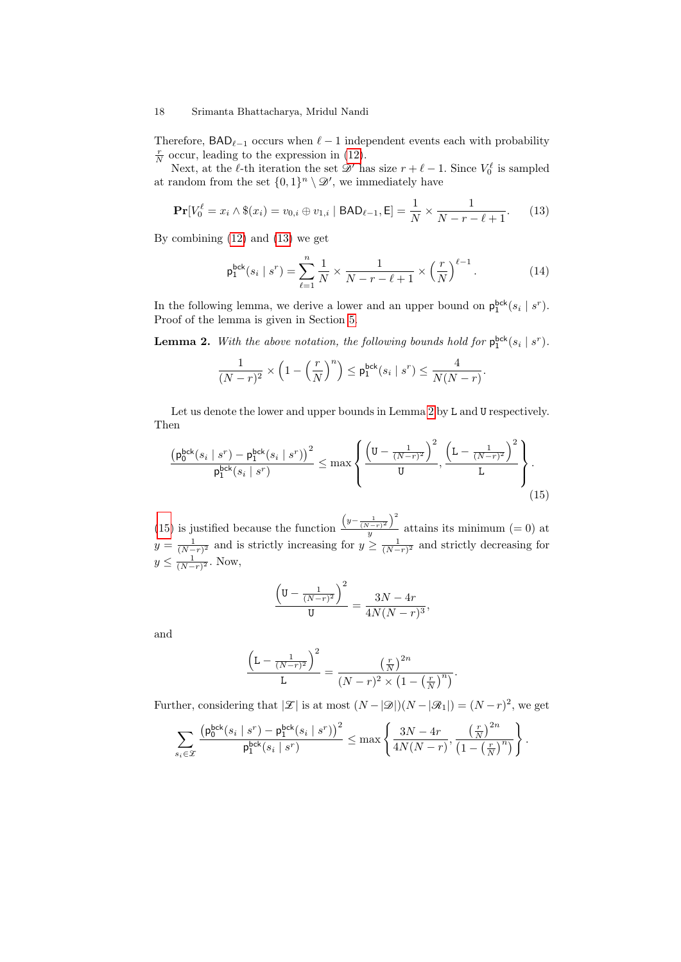Therefore,  $\mathsf{BAD}_{\ell-1}$  occurs when  $\ell-1$  independent events each with probability  $\frac{r}{N}$  occur, leading to the expression in [\(12\)](#page-16-1).

Next, at the  $\ell$ -th iteration the set  $\mathscr{D}'$  has size  $r + \ell - 1$ . Since  $V_0^{\ell}$  is sampled at random from the set  $\{0,1\}^n \setminus \mathcal{D}'$ , we immediately have

$$
\Pr[V_0^{\ell} = x_i \wedge \$(x_i) = v_{0,i} \oplus v_{1,i} \mid \mathsf{BAD}_{\ell-1}, \mathsf{E}] = \frac{1}{N} \times \frac{1}{N - r - \ell + 1}.
$$
 (13)

By combining [\(12\)](#page-16-1) and [\(13\)](#page-17-0) we get

<span id="page-17-0"></span>
$$
\mathsf{p}_{1}^{\mathsf{bck}}(s_{i} \mid s^{r}) = \sum_{\ell=1}^{n} \frac{1}{N} \times \frac{1}{N-r-\ell+1} \times \left(\frac{r}{N}\right)^{\ell-1}.
$$
 (14)

In the following lemma, we derive a lower and an upper bound on  $p_1^{\text{bck}}(s_i | s^r)$ . Proof of the lemma is given in Section [5.](#page-19-0)

<span id="page-17-1"></span>**Lemma 2.** With the above notation, the following bounds hold for  $p_1^{bck}(s_i | s^r)$ .

$$
\frac{1}{(N-r)^2} \times \left(1 - \left(\frac{r}{N}\right)^n\right) \le \mathsf{p}_1^{\mathsf{bck}}(s_i \mid s^r) \le \frac{4}{N(N-r)}.
$$

Let us denote the lower and upper bounds in Lemma [2](#page-17-1) by L and U respectively. Then

$$
\frac{\left(\mathsf{p}_{0}^{\mathsf{bck}}(s_{i} \mid s^{r}) - \mathsf{p}_{1}^{\mathsf{bck}}(s_{i} \mid s^{r})\right)^{2}}{\mathsf{p}_{1}^{\mathsf{bck}}(s_{i} \mid s^{r})} \leq \max\left\{\frac{\left(\mathsf{U} - \frac{1}{(N-r)^{2}}\right)^{2}}{\mathsf{U}}, \frac{\left(\mathsf{L} - \frac{1}{(N-r)^{2}}\right)^{2}}{\mathsf{L}}\right\}.
$$
\n(15)

[\(15\)](#page-17-2) is justified because the function  $\left(y-\frac{1}{(N-r)^2}\right)^2$  $\frac{y^{(1-r)}-y^{(1-r)}-y}{y}$  attains its minimum (= 0) at  $y = \frac{1}{(N-r)^2}$  and is strictly increasing for  $y \ge \frac{1}{(N-r)^2}$  and strictly decreasing for  $y \leq \frac{1}{(N-r)^2}$ . Now,

<span id="page-17-2"></span>
$$
\frac{\left(\mathbf{U} - \frac{1}{(N-r)^2}\right)^2}{\mathbf{U}} = \frac{3N - 4r}{4N(N-r)^3},
$$

and

$$
\frac{\left(\mathcal{L} - \frac{1}{(N-r)^2}\right)^2}{\mathcal{L}} = \frac{\left(\frac{r}{N}\right)^{2n}}{(N-r)^2 \times \left(1 - \left(\frac{r}{N}\right)^n\right)}.
$$

Further, considering that  $|\mathcal{Z}|$  is at most  $(N - |\mathcal{D}|)(N - |\mathcal{R}_1|) = (N - r)^2$ , we get

$$
\sum_{s_i \in \mathcal{X}} \frac{\left(\mathsf{p}_0^{\mathsf{bck}}(s_i \mid s^r) - \mathsf{p}_1^{\mathsf{bck}}(s_i \mid s^r)\right)^2}{\mathsf{p}_1^{\mathsf{bck}}(s_i \mid s^r)} \le \max\left\{\frac{3N - 4r}{4N(N - r)}, \frac{\left(\frac{r}{N}\right)^{2n}}{\left(1 - \left(\frac{r}{N}\right)^n\right)}\right\}.
$$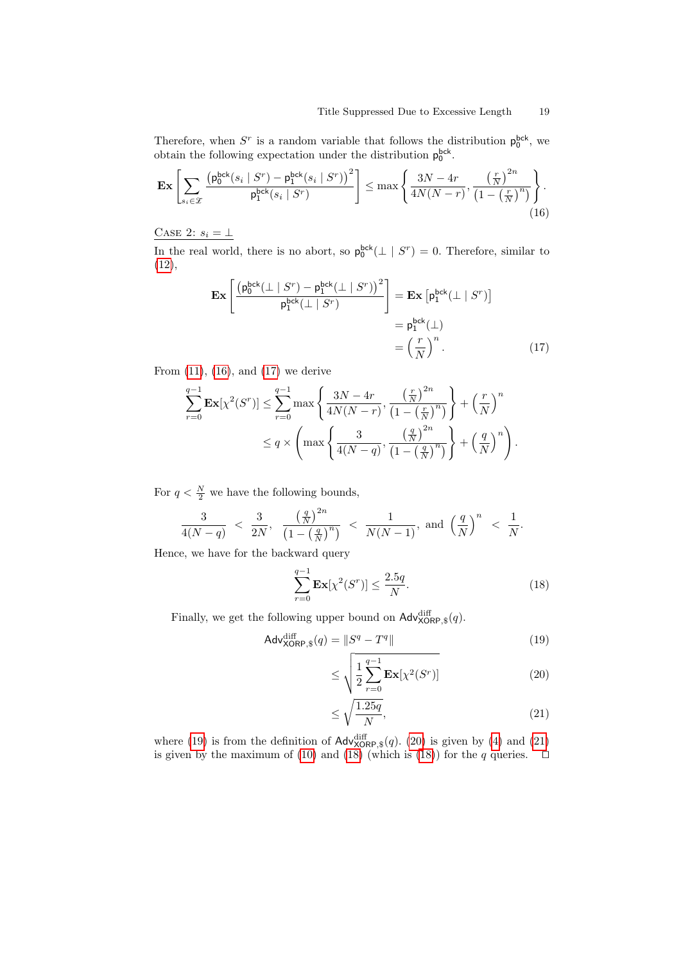Therefore, when  $S^r$  is a random variable that follows the distribution  $p_0^{\text{bck}}$ , we obtain the following expectation under the distribution  $p_0^{bck}$ .

$$
\mathbf{Ex}\left[\sum_{s_i\in\mathcal{X}}\frac{\left(\mathsf{p}_0^{\mathsf{bck}}(s_i\mid S^r) - \mathsf{p}_1^{\mathsf{bck}}(s_i\mid S^r)\right)^2}{\mathsf{p}_1^{\mathsf{bck}}(s_i\mid S^r)}\right] \le \max\left\{\frac{3N-4r}{4N(N-r)}, \frac{\left(\frac{r}{N}\right)^{2n}}{\left(1-\left(\frac{r}{N}\right)^n\right)}\right\}.
$$
\n(16)

CASE 2:  $s_i = \bot$ 

In the real world, there is no abort, so  $p_0^{bck}(\perp | S^r) = 0$ . Therefore, similar to [\(12\)](#page-16-1),

<span id="page-18-1"></span><span id="page-18-0"></span>
$$
\mathbf{Ex}\left[\frac{\left(\mathbf{p}_{0}^{\text{bck}}(\perp|S^{r}) - \mathbf{p}_{1}^{\text{bck}}(\perp|S^{r})\right)^{2}}{\mathbf{p}_{1}^{\text{bck}}(\perp|S^{r})}\right] = \mathbf{Ex}\left[\mathbf{p}_{1}^{\text{bck}}(\perp|S^{r})\right] \\
= \mathbf{p}_{1}^{\text{bck}}(\perp) \\
= \left(\frac{r}{N}\right)^{n}.\n\tag{17}
$$

From  $(11)$ ,  $(16)$ , and  $(17)$  we derive

$$
\sum_{r=0}^{q-1} \mathbf{Ex}[\chi^2(S^r)] \le \sum_{r=0}^{q-1} \max\left\{\frac{3N-4r}{4N(N-r)}, \frac{\left(\frac{r}{N}\right)^{2n}}{\left(1-\left(\frac{r}{N}\right)^n\right)}\right\} + \left(\frac{r}{N}\right)^n
$$
  

$$
\le q \times \left(\max\left\{\frac{3}{4(N-q)}, \frac{\left(\frac{q}{N}\right)^{2n}}{\left(1-\left(\frac{q}{N}\right)^n\right)}\right\} + \left(\frac{q}{N}\right)^n\right).
$$

For  $q < \frac{N}{2}$  we have the following bounds,

$$
\frac{3}{4(N-q)} < \frac{3}{2N}, \frac{\left(\frac{q}{N}\right)^{2n}}{\left(1-\left(\frac{q}{N}\right)^n\right)} < \frac{1}{N(N-1)}, \text{ and } \left(\frac{q}{N}\right)^n < \frac{1}{N}.
$$

Hence, we have for the backward query

$$
\sum_{r=0}^{q-1} \mathbf{Ex}[\chi^2(S^r)] \le \frac{2.5q}{N}.\tag{18}
$$

Finally, we get the following upper bound on  $\mathsf{Adv}^{\text{diff}}_{\text{XORP},\$}(q)$ .

$$
\mathsf{Adv}_{\mathsf{XORP},\$}^{\text{diff}}(q) = \|S^q - T^q\| \tag{19}
$$

<span id="page-18-5"></span><span id="page-18-3"></span><span id="page-18-2"></span>
$$
\leq \sqrt{\frac{1}{2} \sum_{r=0}^{q-1} \mathbf{Ex}[\chi^2(S^r)]}
$$
\n(20)

<span id="page-18-4"></span>
$$
\leq \sqrt{\frac{1.25q}{N}},\tag{21}
$$

where [\(19\)](#page-18-2) is from the definition of  $\text{Adv}_{\text{XORP},\$}^{diff}(q)$ . [\(20\)](#page-18-3) is given by [\(4\)](#page-7-3) and [\(21\)](#page-18-4) is given by the maximum of [\(10\)](#page-15-3) and [\(18\)](#page-18-5) (which is (18)) for the q queries.  $\Box$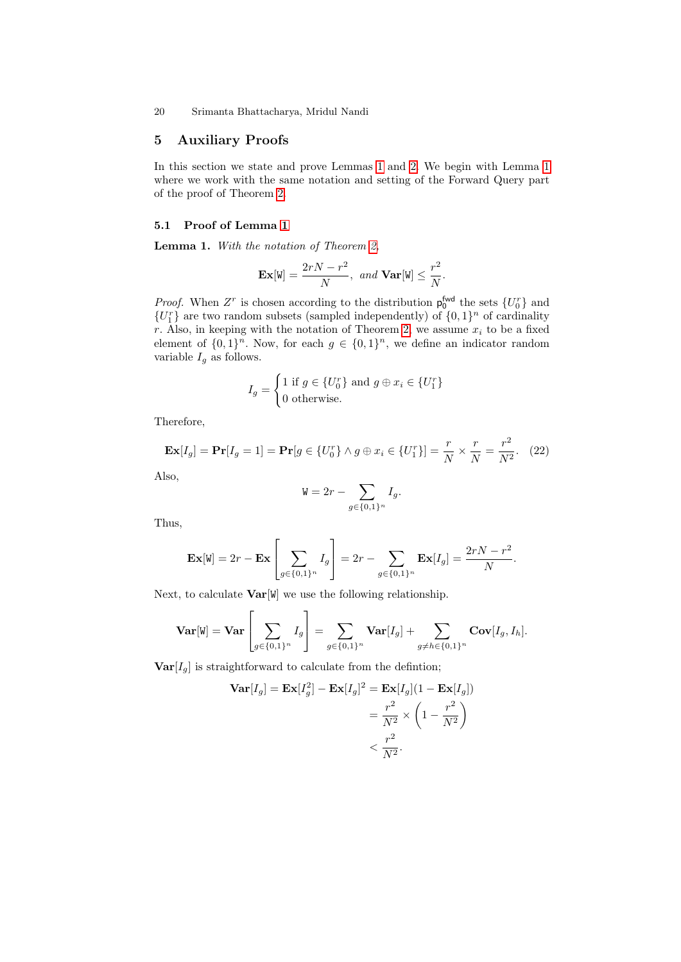# <span id="page-19-0"></span>5 Auxiliary Proofs

In this section we state and prove Lemmas [1](#page-15-1) and [2.](#page-17-1) We begin with Lemma [1](#page-15-1) where we work with the same notation and setting of the Forward Query part of the proof of Theorem [2.](#page-13-0)

# 5.1 Proof of Lemma [1](#page-15-1)

Lemma 1. With the notation of Theorem [2,](#page-13-0)

$$
\mathbf{Ex}[\mathbf{W}] = \frac{2rN - r^2}{N}, \text{ and } \mathbf{Var}[\mathbf{W}] \le \frac{r^2}{N}.
$$

*Proof.* When  $Z^r$  is chosen according to the distribution  $p_0^{\text{fwd}}$  the sets  $\{U_0^r\}$  and  ${U<sub>1</sub><sup>r</sup>}$  are two random subsets (sampled independently) of  ${0, 1}<sup>n</sup>$  of cardinality r. Also, in keeping with the notation of Theorem [2,](#page-13-0) we assume  $x_i$  to be a fixed element of  $\{0,1\}^n$ . Now, for each  $g \in \{0,1\}^n$ , we define an indicator random variable  $I_q$  as follows.

$$
I_g = \begin{cases} 1 \text{ if } g \in \{U_0^r\} \text{ and } g \oplus x_i \in \{U_1^r\} \\ 0 \text{ otherwise.} \end{cases}
$$

Therefore,

$$
\mathbf{Ex}[I_g] = \mathbf{Pr}[I_g = 1] = \mathbf{Pr}[g \in \{U_0^r\} \land g \oplus x_i \in \{U_1^r\}] = \frac{r}{N} \times \frac{r}{N} = \frac{r^2}{N^2}.
$$
 (22)

<span id="page-19-1"></span>2

Also,

$$
W = 2r - \sum_{g \in \{0,1\}^n} I_g.
$$

Thus,

$$
\mathbf{Ex}[W] = 2r - \mathbf{Ex}\left[\sum_{g \in \{0,1\}^n} I_g\right] = 2r - \sum_{g \in \{0,1\}^n} \mathbf{Ex}[I_g] = \frac{2rN - r^2}{N}.
$$

Next, to calculate  $Var[W]$  we use the following relationship.

 $\overline{a}$ 

$$
\mathbf{Var}[\mathbf{W}] = \mathbf{Var}\left[\sum_{g \in \{0,1\}^n} I_g\right] = \sum_{g \in \{0,1\}^n} \mathbf{Var}[I_g] + \sum_{g \neq h \in \{0,1\}^n} \mathbf{Cov}[I_g, I_h].
$$

 $\textbf{Var}[I_q]$  is straightforward to calculate from the defintion;

$$
\mathbf{Var}[I_g] = \mathbf{Ex}[I_g^2] - \mathbf{Ex}[I_g]^2 = \mathbf{Ex}[I_g](1 - \mathbf{Ex}[I_g])
$$
  
= 
$$
\frac{r^2}{N^2} \times \left(1 - \frac{r^2}{N^2}\right)
$$
  
< 
$$
< \frac{r^2}{N^2}.
$$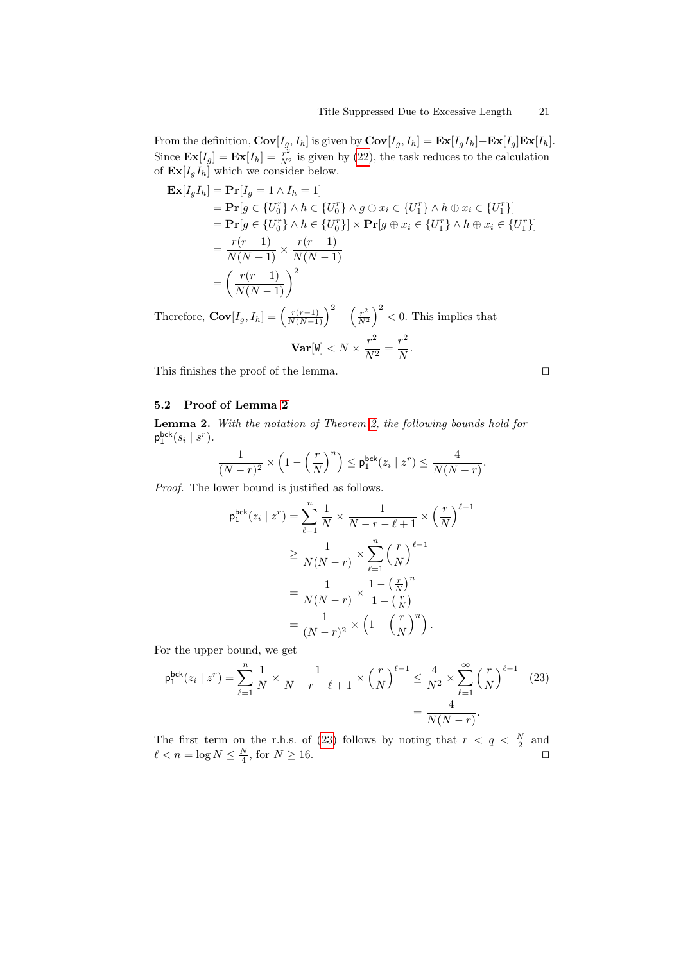From the definition,  $Cov[I_g, I_h]$  is given by  $Cov[I_g, I_h] = Ex[I_g I_h] - Ex[I_g]Ex[I_h]$ . Since  $\mathbf{Ex}[I_g] = \mathbf{Ex}[I_h] = \frac{r^2}{N^2}$  is given by [\(22\)](#page-19-1), the task reduces to the calculation of  $\mathbf{Ex}[I_gI_h]$  which we consider below.

$$
\begin{aligned} \mathbf{Ex}[I_g I_h] &= \mathbf{Pr}[I_g = 1 \land I_h = 1] \\ &= \mathbf{Pr}[g \in \{U_0^r\} \land h \in \{U_0^r\} \land g \oplus x_i \in \{U_1^r\} \land h \oplus x_i \in \{U_1^r\}] \\ &= \mathbf{Pr}[g \in \{U_0^r\} \land h \in \{U_0^r\}] \times \mathbf{Pr}[g \oplus x_i \in \{U_1^r\} \land h \oplus x_i \in \{U_1^r\}] \\ &= \frac{r(r-1)}{N(N-1)} \times \frac{r(r-1)}{N(N-1)} \\ &= \left(\frac{r(r-1)}{N(N-1)}\right)^2 \end{aligned}
$$

Therefore,  $\mathbf{Cov}[I_g, I_h] = \left(\frac{r(r-1)}{N(N-1)}\right)^2 - \left(\frac{r^2}{N^2}\right)^2$  $\frac{r^2}{N^2}$   $\Big)^2$  < 0. This implies that

$$
\mathbf{Var}[W] < N \times \frac{r^2}{N^2} = \frac{r^2}{N}.
$$

This finishes the proof of the lemma.  $\Box$ 

<span id="page-20-0"></span>

# 5.2 Proof of Lemma [2](#page-17-1)

Lemma 2. With the notation of Theorem [2,](#page-13-0) the following bounds hold for  $p_1^{\text{bck}}(s_i \mid s^r).$ 

$$
\frac{1}{(N-r)^2} \times \left(1-\left(\frac{r}{N}\right)^n\right) \leq \mathsf{p}_1^{\mathsf{bck}}(z_i \mid z^r) \leq \frac{4}{N(N-r)}.
$$

Proof. The lower bound is justified as follows.

$$
\begin{split} \mathsf{p}_{1}^{\mathsf{bck}}(z_{i} \mid z^{r}) &= \sum_{\ell=1}^{n} \frac{1}{N} \times \frac{1}{N-r-\ell+1} \times \left(\frac{r}{N}\right)^{\ell-1} \\ &\geq \frac{1}{N(N-r)} \times \sum_{\ell=1}^{n} \left(\frac{r}{N}\right)^{\ell-1} \\ &= \frac{1}{N(N-r)} \times \frac{1-\left(\frac{r}{N}\right)^{n}}{1-\left(\frac{r}{N}\right)} \\ &= \frac{1}{(N-r)^{2}} \times \left(1-\left(\frac{r}{N}\right)^{n}\right). \end{split}
$$

For the upper bound, we get

$$
\mathsf{p}_{1}^{\mathsf{bck}}(z_{i} \mid z^{r}) = \sum_{\ell=1}^{n} \frac{1}{N} \times \frac{1}{N-r-\ell+1} \times \left(\frac{r}{N}\right)^{\ell-1} \leq \frac{4}{N^{2}} \times \sum_{\ell=1}^{\infty} \left(\frac{r}{N}\right)^{\ell-1} \tag{23}
$$
\n
$$
= \frac{4}{N(N-r)}.
$$

The first term on the r.h.s. of [\(23\)](#page-20-0) follows by noting that  $r < q < \frac{N}{2}$  and  $\ell < n = \log N \leq \frac{N}{4}$ , for  $N \geq 16$ .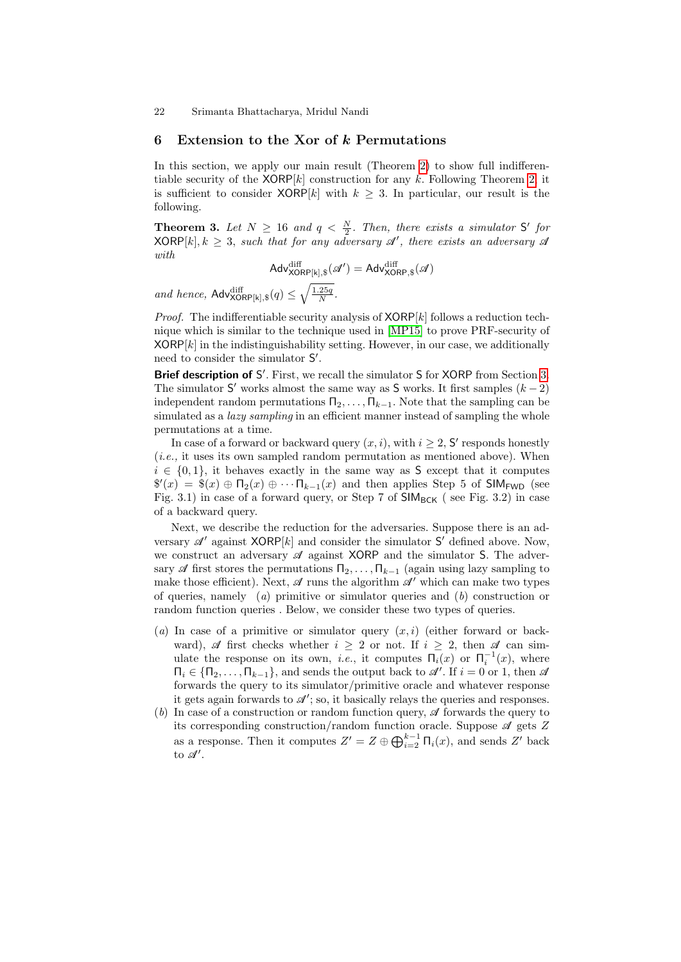#### <span id="page-21-1"></span>6 Extension to the Xor of k Permutations

In this section, we apply our main result (Theorem [2\)](#page-13-0) to show full indifferentiable security of the  $XORP[k]$  construction for any k. Following Theorem [2,](#page-13-0) it is sufficient to consider  $XORP[k]$  with  $k \geq 3$ . In particular, our result is the following.

<span id="page-21-0"></span>**Theorem 3.** Let  $N \geq 16$  and  $q < \frac{N}{2}$ . Then, there exists a simulator S' for  $\mathsf{XORP}[k], k \geq 3$ , such that for any adversary  $\mathscr{A}'$ , there exists an adversary  $\mathscr{A}$ with

$$
\mathsf{Adv}_{\mathsf{XORP}[k],\$}^{\text{diff}}(\mathscr{A}') = \mathsf{Adv}_{\mathsf{XORP},\$}^{\text{diff}}(\mathscr{A})
$$

and hence,  $\mathsf{Adv}_{\mathsf{XORP}[k],\$}^{\text{diff}}(q) \leq \sqrt{\frac{1.25q}{N}}$ .

*Proof.* The indifferentiable security analysis of  $XORP[k]$  follows a reduction technique which is similar to the technique used in [\[MP15\]](#page-24-4) to prove PRF-security of  $XORP[k]$  in the indistinguishability setting. However, in our case, we additionally need to consider the simulator S'.

Brief description of S'. First, we recall the simulator S for XORP from Section [3.](#page-8-0) The simulator  $S'$  works almost the same way as S works. It first samples  $(k-2)$ independent random permutations  $\Pi_2, \ldots, \Pi_{k-1}$ . Note that the sampling can be simulated as a *lazy sampling* in an efficient manner instead of sampling the whole permutations at a time.

In case of a forward or backward query  $(x, i)$ , with  $i \geq 2$ , S' responds honestly (i.e., it uses its own sampled random permutation as mentioned above). When  $i \in \{0,1\}$ , it behaves exactly in the same way as S except that it computes  $\mathscr{S}(x) = \mathscr{S}(x) \oplus \Pi_2(x) \oplus \cdots \Pi_{k-1}(x)$  and then applies Step 5 of SIM<sub>FWD</sub> (see Fig. 3.1) in case of a forward query, or Step 7 of  $SIM_{BCK}$  (see Fig. 3.2) in case of a backward query.

Next, we describe the reduction for the adversaries. Suppose there is an adversary  $\mathscr{A}'$  against XORP[k] and consider the simulator S' defined above. Now, we construct an adversary  $\mathscr A$  against XORP and the simulator S. The adversary  $\mathscr A$  first stores the permutations  $\Pi_2, \ldots, \Pi_{k-1}$  (again using lazy sampling to make those efficient). Next,  $\mathscr A$  runs the algorithm  $\mathscr A'$  which can make two types of queries, namely (a) primitive or simulator queries and  $(b)$  construction or random function queries . Below, we consider these two types of queries.

- (a) In case of a primitive or simulator query  $(x, i)$  (either forward or backward),  $\mathscr A$  first checks whether  $i \geq 2$  or not. If  $i \geq 2$ , then  $\mathscr A$  can simulate the response on its own, *i.e.*, it computes  $\Pi_i(x)$  or  $\Pi_i^{-1}(x)$ , where  $\Pi_i \in \{\Pi_2, \ldots, \Pi_{k-1}\}\$ , and sends the output back to  $\mathscr{A}'$ . If  $i = 0$  or 1, then  $\mathscr{A}$ forwards the query to its simulator/primitive oracle and whatever response it gets again forwards to  $\mathcal{A}'$ ; so, it basically relays the queries and responses.
- (b) In case of a construction or random function query,  $\mathscr A$  forwards the query to its corresponding construction/random function oracle. Suppose  $\mathscr A$  gets  $Z$ as a response. Then it computes  $Z' = Z \oplus \bigoplus_{i=2}^{k-1} \Pi_i(x)$ , and sends  $Z'$  back to  $\mathscr{A}'$ .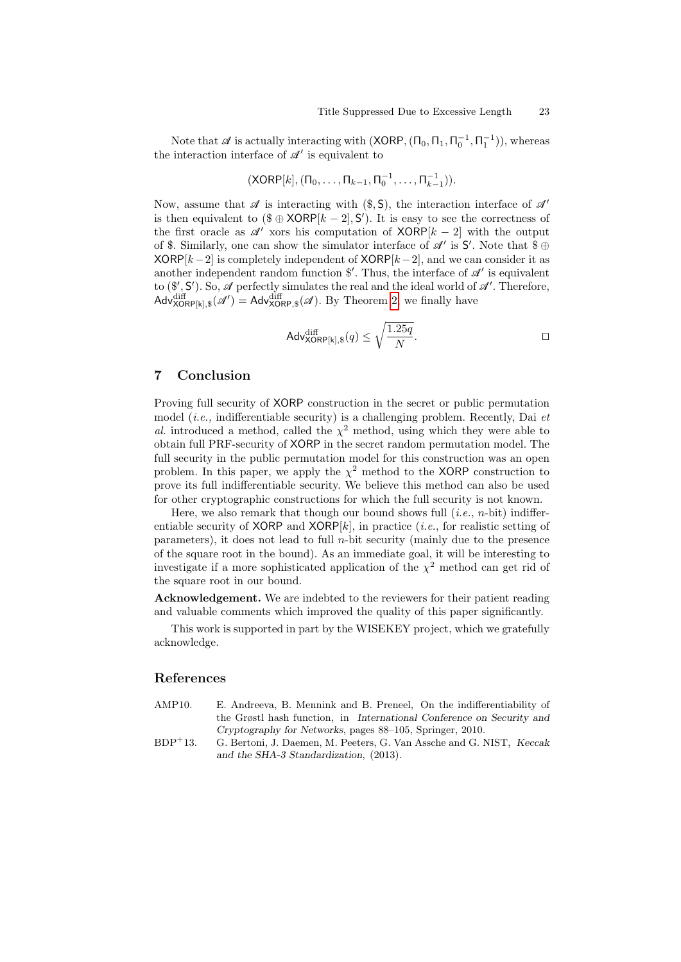Note that  $\mathscr A$  is actually interacting with  $(\textsf{XORP},(\Pi_0,\Pi_1,\Pi_0^{-1},\Pi_1^{-1}))$ , whereas the interaction interface of  $\mathscr{A}'$  is equivalent to

$$
(XORP[k], (\Pi_0, \ldots, \Pi_{k-1}, \Pi_0^{-1}, \ldots, \Pi_{k-1}^{-1})).
$$

Now, assume that  $\mathscr A$  is interacting with (\$, S), the interaction interface of  $\mathscr A'$ is then equivalent to  $(\$ \oplus \text{XORP}[k-2], \mathsf{S}')$ . It is easy to see the correctness of the first oracle as  $\mathscr{A}'$  xors his computation of XORP[k – 2] with the output of \$. Similarly, one can show the simulator interface of  $\mathscr{A}'$  is  $\mathsf{S}'$ . Note that  $\mathscr{S} \oplus$  $XORP[k-2]$  is completely independent of  $XORP[k-2]$ , and we can consider it as another independent random function  $\mathcal{F}'$ . Thus, the interface of  $\mathcal{A}'$  is equivalent to  $(\mathcal{F}', S')$ . So,  $\mathcal A$  perfectly simulates the real and the ideal world of  $\mathcal A'$ . Therefore,  $\mathsf{Adv}_{\mathsf{XORP[k],\$}}^{\text{diff}}(\mathscr{A}') = \mathsf{Adv}_{\mathsf{XORP},\$}^{\text{diff}}(\mathscr{A}).$  By Theorem [2,](#page-13-0) we finally have

$$
\mathsf{Adv}_{\mathsf{XORP}[k],\$}^{\text{diff}}(q) \le \sqrt{\frac{1.25q}{N}}.
$$

## 7 Conclusion

Proving full security of XORP construction in the secret or public permutation model (*i.e.*, indifferentiable security) is a challenging problem. Recently, Dai  $et$ al. introduced a method, called the  $\chi^2$  method, using which they were able to obtain full PRF-security of XORP in the secret random permutation model. The full security in the public permutation model for this construction was an open problem. In this paper, we apply the  $\chi^2$  method to the XORP construction to prove its full indifferentiable security. We believe this method can also be used for other cryptographic constructions for which the full security is not known.

Here, we also remark that though our bound shows full  $(i.e., n\text{-bit})$  indifferentiable security of XORP and XORP $[k]$ , in practice (*i.e.*, for realistic setting of parameters), it does not lead to full  $n$ -bit security (mainly due to the presence of the square root in the bound). As an immediate goal, it will be interesting to investigate if a more sophisticated application of the  $\chi^2$  method can get rid of the square root in our bound.

Acknowledgement. We are indebted to the reviewers for their patient reading and valuable comments which improved the quality of this paper significantly.

This work is supported in part by the WISEKEY project, which we gratefully acknowledge.

## References

- <span id="page-22-1"></span>AMP10. E. Andreeva, B. Mennink and B. Preneel, On the indifferentiability of the Grøstl hash function, in International Conference on Security and Cryptography for Networks, pages 88–105, Springer, 2010.
- <span id="page-22-0"></span>BDP<sup>+</sup>13. G. Bertoni, J. Daemen, M. Peeters, G. Van Assche and G. NIST, Keccak and the SHA-3 Standardization, (2013).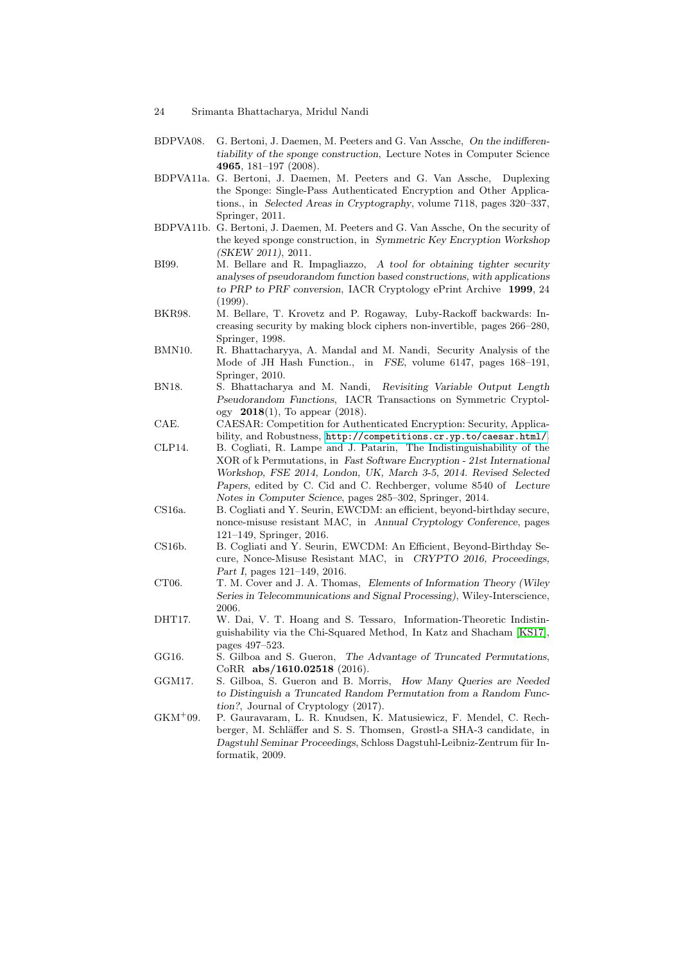- 24 Srimanta Bhattacharya, Mridul Nandi
- <span id="page-23-8"></span>BDPVA08. G. Bertoni, J. Daemen, M. Peeters and G. Van Assche, On the indifferentiability of the sponge construction, Lecture Notes in Computer Science 4965, 181–197 (2008).
- <span id="page-23-4"></span>BDPVA11a. G. Bertoni, J. Daemen, M. Peeters and G. Van Assche, Duplexing the Sponge: Single-Pass Authenticated Encryption and Other Applications., in Selected Areas in Cryptography, volume 7118, pages 320–337, Springer, 2011.
- <span id="page-23-5"></span>BDPVA11b. G. Bertoni, J. Daemen, M. Peeters and G. Van Assche, On the security of the keyed sponge construction, in Symmetric Key Encryption Workshop (SKEW 2011), 2011.
- <span id="page-23-1"></span>BI99. M. Bellare and R. Impagliazzo, A tool for obtaining tighter security analyses of pseudorandom function based constructions, with applications to PRP to PRF conversion, IACR Cryptology ePrint Archive 1999, 24 (1999).
- <span id="page-23-0"></span>BKR98. M. Bellare, T. Krovetz and P. Rogaway, Luby-Rackoff backwards: Increasing security by making block ciphers non-invertible, pages 266–280, Springer, 1998.
- <span id="page-23-9"></span>BMN10. R. Bhattacharyya, A. Mandal and M. Nandi, Security Analysis of the Mode of JH Hash Function., in FSE, volume 6147, pages 168–191, Springer, 2010.
- <span id="page-23-13"></span>BN18. S. Bhattacharya and M. Nandi, Revisiting Variable Output Length Pseudorandom Functions, IACR Transactions on Symmetric Cryptology 2018(1), To appear (2018).
- <span id="page-23-7"></span>CAE. CAESAR: Competition for Authenticated Encryption: Security, Applicability, and Robustness, <http://competitions.cr.yp.to/caesar.html/>.
- <span id="page-23-2"></span>CLP14. B. Cogliati, R. Lampe and J. Patarin, The Indistinguishability of the XOR of k Permutations, in Fast Software Encryption - 21st International Workshop, FSE 2014, London, UK, March 3-5, 2014. Revised Selected Papers, edited by C. Cid and C. Rechberger, volume 8540 of Lecture Notes in Computer Science, pages 285–302, Springer, 2014.
- <span id="page-23-12"></span>CS16a. B. Cogliati and Y. Seurin, EWCDM: an efficient, beyond-birthday secure, nonce-misuse resistant MAC, in Annual Cryptology Conference, pages 121–149, Springer, 2016.
- <span id="page-23-14"></span>CS16b. B. Cogliati and Y. Seurin, EWCDM: An Efficient, Beyond-Birthday Secure, Nonce-Misuse Resistant MAC, in CRYPTO 2016, Proceedings, Part I, pages 121–149, 2016.
- <span id="page-23-15"></span>CT06. T. M. Cover and J. A. Thomas, Elements of Information Theory (Wiley Series in Telecommunications and Signal Processing), Wiley-Interscience, 2006.
- <span id="page-23-3"></span>DHT17. W. Dai, V. T. Hoang and S. Tessaro, Information-Theoretic Indistinguishability via the Chi-Squared Method, In Katz and Shacham [\[KS17\]](#page-24-15), pages 497–523.
- <span id="page-23-10"></span>GG16. S. Gilboa and S. Gueron, The Advantage of Truncated Permutations, CoRR abs/1610.02518 (2016).
- <span id="page-23-11"></span>GGM17. S. Gilboa, S. Gueron and B. Morris, How Many Queries are Needed to Distinguish a Truncated Random Permutation from a Random Function?, Journal of Cryptology (2017).
- <span id="page-23-6"></span>GKM<sup>+</sup>09. P. Gauravaram, L. R. Knudsen, K. Matusiewicz, F. Mendel, C. Rechberger, M. Schläffer and S. S. Thomsen, Grøstl-a SHA-3 candidate, in Dagstuhl Seminar Proceedings, Schloss Dagstuhl-Leibniz-Zentrum für Informatik, 2009.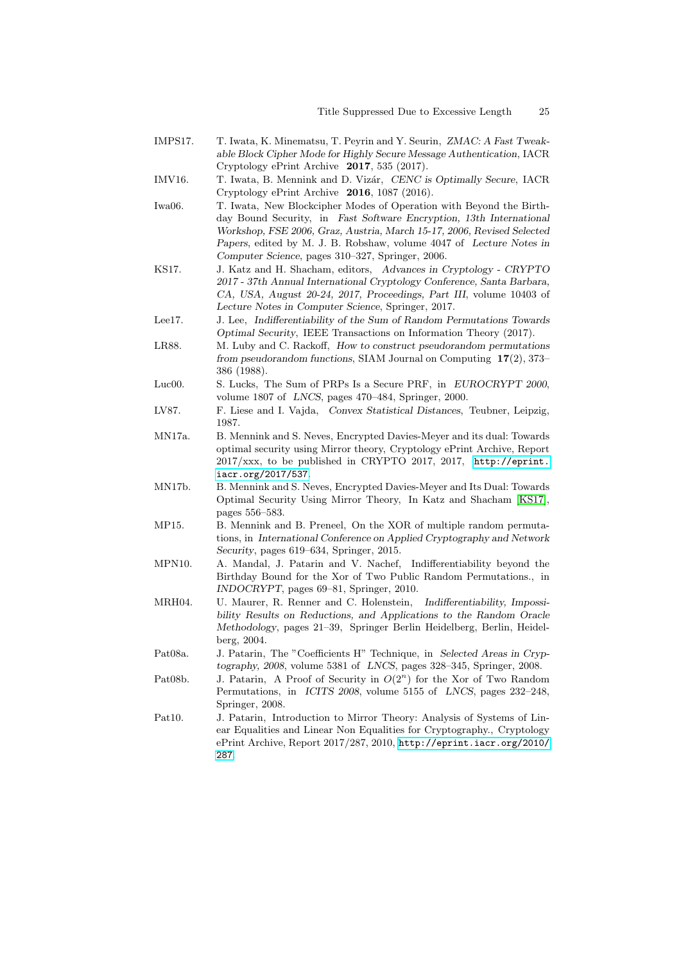- <span id="page-24-7"></span>IMPS17. T. Iwata, K. Minematsu, T. Peyrin and Y. Seurin, ZMAC: A Fast Tweakable Block Cipher Mode for Highly Secure Message Authentication, IACR Cryptology ePrint Archive 2017, 535 (2017).
- <span id="page-24-6"></span>IMV16. T. Iwata, B. Mennink and D. Vizár, CENC is Optimally Secure, IACR Cryptology ePrint Archive 2016, 1087 (2016).
- <span id="page-24-5"></span>Iwa06. T. Iwata, New Blockcipher Modes of Operation with Beyond the Birthday Bound Security, in Fast Software Encryption, 13th International Workshop, FSE 2006, Graz, Austria, March 15-17, 2006, Revised Selected Papers, edited by M. J. B. Robshaw, volume 4047 of Lecture Notes in Computer Science, pages 310–327, Springer, 2006.
- <span id="page-24-15"></span>KS17. J. Katz and H. Shacham, editors, Advances in Cryptology - CRYPTO 2017 - 37th Annual International Cryptology Conference, Santa Barbara, CA, USA, August 20-24, 2017, Proceedings, Part III, volume 10403 of Lecture Notes in Computer Science, Springer, 2017.
- <span id="page-24-10"></span>Lee17. J. Lee, Indifferentiability of the Sum of Random Permutations Towards Optimal Security, IEEE Transactions on Information Theory (2017).
- <span id="page-24-0"></span>LR88. M. Luby and C. Rackoff, How to construct pseudorandom permutations from pseudorandom functions, SIAM Journal on Computing 17(2), 373– 386 (1988).
- <span id="page-24-1"></span>Luc00. S. Lucks, The Sum of PRPs Is a Secure PRF, in EUROCRYPT 2000, volume 1807 of LNCS, pages 470–484, Springer, 2000.
- <span id="page-24-14"></span>LV87. F. Liese and I. Vajda, Convex Statistical Distances, Teubner, Leipzig, 1987.
- <span id="page-24-12"></span>MN17a. B. Mennink and S. Neves, Encrypted Davies-Meyer and its dual: Towards optimal security using Mirror theory, Cryptology ePrint Archive, Report  $2017/xxx$ , to be published in CRYPTO 2017, 2017, [http://eprint.](http://eprint.iacr.org/2017/537) [iacr.org/2017/537](http://eprint.iacr.org/2017/537).
- <span id="page-24-13"></span>MN17b. B. Mennink and S. Neves, Encrypted Davies-Meyer and Its Dual: Towards Optimal Security Using Mirror Theory, In Katz and Shacham [\[KS17\]](#page-24-15), pages 556–583.
- <span id="page-24-4"></span>MP15. B. Mennink and B. Preneel, On the XOR of multiple random permutations, in International Conference on Applied Cryptography and Network Security, pages 619–634, Springer, 2015.
- <span id="page-24-9"></span>MPN10. A. Mandal, J. Patarin and V. Nachef, Indifferentiability beyond the Birthday Bound for the Xor of Two Public Random Permutations., in INDOCRYPT, pages 69–81, Springer, 2010.
- <span id="page-24-8"></span>MRH04. U. Maurer, R. Renner and C. Holenstein, Indifferentiability, Impossibility Results on Reductions, and Applications to the Random Oracle Methodology, pages 21–39, Springer Berlin Heidelberg, Berlin, Heidelberg, 2004.
- <span id="page-24-11"></span>Pat08a. J. Patarin, The "Coefficients H" Technique, in Selected Areas in Cryptography, 2008, volume 5381 of LNCS, pages 328–345, Springer, 2008.
- <span id="page-24-3"></span>Pat08b. J. Patarin, A Proof of Security in  $O(2^n)$  for the Xor of Two Random Permutations, in ICITS 2008, volume 5155 of LNCS, pages 232–248, Springer, 2008.
- <span id="page-24-2"></span>Pat10. J. Patarin, Introduction to Mirror Theory: Analysis of Systems of Linear Equalities and Linear Non Equalities for Cryptography., Cryptology ePrint Archive, Report 2017/287, 2010, [http://eprint.iacr.org/2010/](http://eprint.iacr.org/2010/287) [287](http://eprint.iacr.org/2010/287).